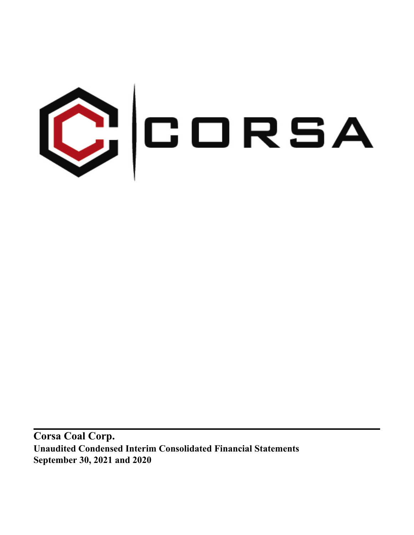

**Corsa Coal Corp. Unaudited Condensed Interim Consolidated Financial Statements September 30, 2021 and 2020**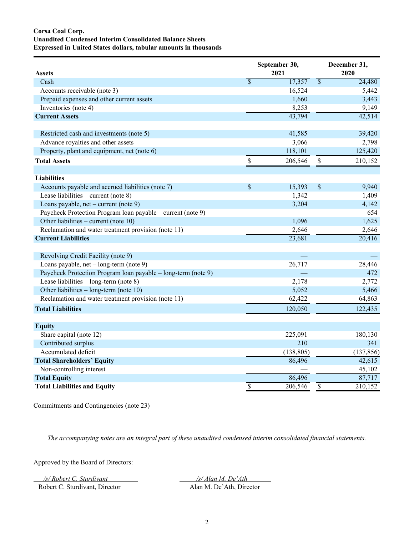# **Corsa Coal Corp. Unaudited Condensed Interim Consolidated Balance Sheets Expressed in United States dollars, tabular amounts in thousands**

| <b>Assets</b>                                                 |                          | September 30,<br>2021 |                 | December 31,<br>2020 |
|---------------------------------------------------------------|--------------------------|-----------------------|-----------------|----------------------|
| Cash                                                          | $\overline{\mathcal{S}}$ | 17,357                | $\overline{\$}$ | 24,480               |
| Accounts receivable (note 3)                                  |                          | 16,524                |                 | 5,442                |
| Prepaid expenses and other current assets                     |                          | 1,660                 |                 | 3,443                |
| Inventories (note 4)                                          |                          | 8,253                 |                 | 9,149                |
| <b>Current Assets</b>                                         |                          | 43,794                |                 | 42,514               |
| Restricted cash and investments (note 5)                      |                          | 41,585                |                 | 39,420               |
| Advance royalties and other assets                            |                          | 3,066                 |                 | 2,798                |
| Property, plant and equipment, net (note 6)                   |                          | 118,101               |                 | 125,420              |
| <b>Total Assets</b>                                           | $\mathbb S$              | 206,546               | $\mathbb{S}$    | 210,152              |
| <b>Liabilities</b>                                            |                          |                       |                 |                      |
| Accounts payable and accrued liabilities (note 7)             | \$                       | 15,393                | \$              | 9,940                |
| Lease liabilities – current (note $8$ )                       |                          | 1,342                 |                 | 1,409                |
| Loans payable, net – current (note 9)                         |                          | 3,204                 |                 | 4,142                |
| Paycheck Protection Program Ioan payable – current (note 9)   |                          |                       |                 | 654                  |
| Other liabilities – current (note $10$ )                      |                          | 1,096                 |                 | 1,625                |
| Reclamation and water treatment provision (note 11)           |                          | 2,646                 |                 | 2,646                |
| <b>Current Liabilities</b>                                    |                          | 23,681                |                 | 20,416               |
| Revolving Credit Facility (note 9)                            |                          |                       |                 |                      |
| Loans payable, $net - long-term (note 9)$                     |                          | 26,717                |                 | 28,446               |
| Paycheck Protection Program loan payable – long-term (note 9) |                          |                       |                 | 472                  |
| Lease liabilities $-$ long-term (note 8)                      |                          | 2,178                 |                 | 2,772                |
| Other liabilities - long-term (note 10)                       |                          | 5,052                 |                 | 5,466                |
| Reclamation and water treatment provision (note 11)           |                          | 62,422                |                 | 64,863               |
| <b>Total Liabilities</b>                                      |                          | 120,050               |                 | 122,435              |
| <b>Equity</b>                                                 |                          |                       |                 |                      |
| Share capital (note 12)                                       |                          | 225,091               |                 | 180,130              |
| Contributed surplus                                           |                          | 210                   |                 | 341                  |
| Accumulated deficit                                           |                          | (138, 805)            |                 | (137, 856)           |
| <b>Total Shareholders' Equity</b>                             |                          | 86,496                |                 | 42,615               |
| Non-controlling interest                                      |                          |                       |                 | 45,102               |
| <b>Total Equity</b>                                           |                          | 86,496                |                 | 87,717               |
| <b>Total Liabilities and Equity</b>                           | $\overline{\$}$          | 206,546               | \$              | 210,152              |

Commitments and Contingencies (note 23)

*The accompanying notes are an integral part of these unaudited condensed interim consolidated financial statements.*

Approved by the Board of Directors:

*/s/ Robert C. Sturdivant /s/ Alan M. De'Ath* 

Robert C. Sturdivant, Director Alan M. De'Ath, Director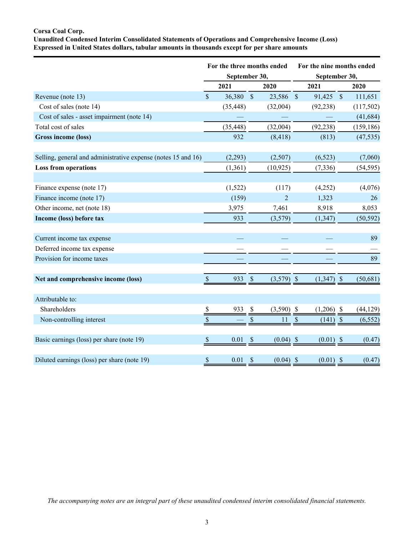# **Corsa Coal Corp.**

**Unaudited Condensed Interim Consolidated Statements of Operations and Comprehensive Income (Loss) Expressed in United States dollars, tabular amounts in thousands except for per share amounts**

|                                                               |                           | For the three months ended<br>September 30, |               |                |                           | For the nine months ended<br>September 30, |            |  |  |
|---------------------------------------------------------------|---------------------------|---------------------------------------------|---------------|----------------|---------------------------|--------------------------------------------|------------|--|--|
|                                                               |                           | 2021                                        |               | 2020           |                           | 2021                                       | 2020       |  |  |
| Revenue (note 13)                                             | $\mathbf{\hat{S}}$        | 36,380 \$                                   |               | 23,586 \$      |                           | 91,425 \$                                  | 111,651    |  |  |
| Cost of sales (note 14)                                       |                           | (35, 448)                                   |               | (32,004)       |                           | (92, 238)                                  | (117,502)  |  |  |
| Cost of sales - asset impairment (note 14)                    |                           |                                             |               |                |                           |                                            | (41, 684)  |  |  |
| Total cost of sales                                           |                           | (35, 448)                                   |               | (32,004)       |                           | (92, 238)                                  | (159, 186) |  |  |
| Gross income (loss)                                           |                           | 932                                         |               | (8, 418)       |                           | (813)                                      | (47, 535)  |  |  |
|                                                               |                           |                                             |               |                |                           |                                            |            |  |  |
| Selling, general and administrative expense (notes 15 and 16) |                           | (2,293)                                     |               | (2,507)        |                           | (6, 523)                                   | (7,060)    |  |  |
| <b>Loss from operations</b>                                   |                           | (1,361)                                     |               | (10, 925)      |                           | (7, 336)                                   | (54, 595)  |  |  |
|                                                               |                           |                                             |               |                |                           |                                            |            |  |  |
| Finance expense (note 17)                                     |                           | (1,522)                                     |               | (117)          |                           | (4,252)                                    | (4,076)    |  |  |
| Finance income (note 17)                                      |                           | (159)                                       |               | $\overline{c}$ |                           | 1,323                                      | 26         |  |  |
| Other income, net (note 18)                                   |                           | 3,975                                       |               | 7,461          |                           | 8,918                                      | 8,053      |  |  |
| Income (loss) before tax                                      |                           | 933                                         |               | (3,579)        |                           | (1, 347)                                   | (50, 592)  |  |  |
|                                                               |                           |                                             |               |                |                           |                                            |            |  |  |
| Current income tax expense                                    |                           |                                             |               |                |                           |                                            | 89         |  |  |
| Deferred income tax expense                                   |                           |                                             |               |                |                           |                                            |            |  |  |
| Provision for income taxes                                    |                           |                                             |               |                |                           |                                            | 89         |  |  |
|                                                               |                           |                                             |               |                |                           |                                            |            |  |  |
| Net and comprehensive income (loss)                           | <sup>S</sup>              | 933                                         | $\mathcal{S}$ | $(3,579)$ \$   |                           | $(1,347)$ \$                               | (50, 681)  |  |  |
|                                                               |                           |                                             |               |                |                           |                                            |            |  |  |
| Attributable to:                                              |                           |                                             |               |                |                           |                                            |            |  |  |
| Shareholders                                                  | $\mathbb{S}$              | 933                                         | \$            | (3,590)        | -\$                       | $(1,206)$ \$                               | (44, 129)  |  |  |
| Non-controlling interest                                      | $\mathcal{S}$             |                                             | \$            | 11             | $\boldsymbol{\mathsf{S}}$ | $(141)$ \$                                 | (6, 552)   |  |  |
|                                                               |                           |                                             |               |                |                           |                                            |            |  |  |
| Basic earnings (loss) per share (note 19)                     | $\boldsymbol{\mathsf{S}}$ | 0.01                                        | \$            | $(0.04)$ \$    |                           | $(0.01)$ \$                                | (0.47)     |  |  |
|                                                               |                           |                                             |               |                |                           |                                            |            |  |  |
| Diluted earnings (loss) per share (note 19)                   | \$                        | 0.01                                        | \$            | $(0.04)$ \$    |                           | $(0.01)$ \$                                | (0.47)     |  |  |

*The accompanying notes are an integral part of these unaudited condensed interim consolidated financial statements.*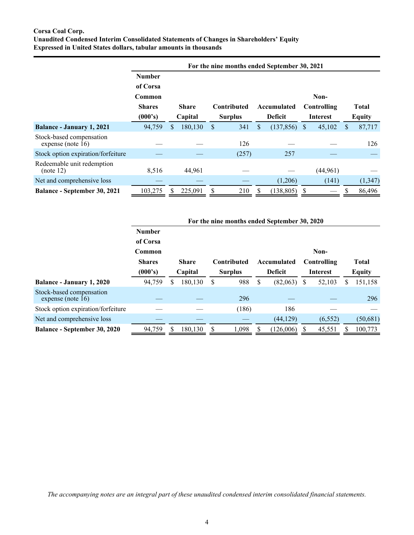# **Corsa Coal Corp. Unaudited Condensed Interim Consolidated Statements of Changes in Shareholders' Equity Expressed in United States dollars, tabular amounts in thousands**

|                                                  |               |     |              | For the nine months ended September 30, 2021 |   |                |    |             |     |               |
|--------------------------------------------------|---------------|-----|--------------|----------------------------------------------|---|----------------|----|-------------|-----|---------------|
|                                                  | <b>Number</b> |     |              |                                              |   |                |    |             |     |               |
|                                                  | of Corsa      |     |              |                                              |   |                |    |             |     |               |
|                                                  | Common        |     |              |                                              |   |                |    | Non-        |     |               |
|                                                  | <b>Shares</b> |     | <b>Share</b> | <b>Contributed</b>                           |   | Accumulated    |    | Controlling |     | <b>Total</b>  |
|                                                  | (000's)       |     | Capital      | <b>Surplus</b>                               |   | <b>Deficit</b> |    | Interest    |     | <b>Equity</b> |
| <b>Balance - January 1, 2021</b>                 | 94,759        | \$. | 180,130      | \$<br>341                                    | S | (137, 856)     | \$ | 45,102      | \$. | 87,717        |
| Stock-based compensation<br>expense (note $16$ ) |               |     |              | 126                                          |   |                |    |             |     | 126           |
| Stock option expiration/forfeiture               |               |     |              | (257)                                        |   | 257            |    |             |     |               |
| Redeemable unit redemption<br>(note 12)          | 8,516         |     | 44,961       |                                              |   |                |    | (44,961)    |     |               |
| Net and comprehensive loss                       |               |     |              |                                              |   | (1,206)        |    | (141)       |     | (1, 347)      |
| <b>Balance - September 30, 2021</b>              | 103,275       |     | 225,091      | 210                                          | S | (138, 805)     | S  |             | \$. | 86,496        |

|                                                  |               |   |              |   |                |   | For the nine months ended September 30, 2020 |   |                 |               |              |
|--------------------------------------------------|---------------|---|--------------|---|----------------|---|----------------------------------------------|---|-----------------|---------------|--------------|
|                                                  | <b>Number</b> |   |              |   |                |   |                                              |   |                 |               |              |
|                                                  | of Corsa      |   |              |   |                |   |                                              |   |                 |               |              |
|                                                  | Common        |   |              |   |                |   |                                              |   | Non-            |               |              |
|                                                  | <b>Shares</b> |   | <b>Share</b> |   | Contributed    |   | Accumulated                                  |   | Controlling     |               | <b>Total</b> |
|                                                  | (000's)       |   | Capital      |   | <b>Surplus</b> |   | <b>Deficit</b>                               |   | <b>Interest</b> | <b>Equity</b> |              |
| Balance - January 1, 2020                        | 94,759        | S | 180,130      | S | 988            | S | (82,063)                                     | S | 52,103          | S             | 151,158      |
| Stock-based compensation<br>expense (note $16$ ) |               |   |              |   | 296            |   |                                              |   |                 |               | 296          |
| Stock option expiration/forfeiture               |               |   |              |   | (186)          |   | 186                                          |   |                 |               |              |
| Net and comprehensive loss                       |               |   |              |   |                |   | (44, 129)                                    |   | (6, 552)        |               | (50, 681)    |
| Balance - September 30, 2020                     | 94,759        |   | 180,130      |   | 1,098          |   | (126,006)                                    |   | 45,551          |               | 100,773      |

*The accompanying notes are an integral part of these unaudited condensed interim consolidated financial statements.*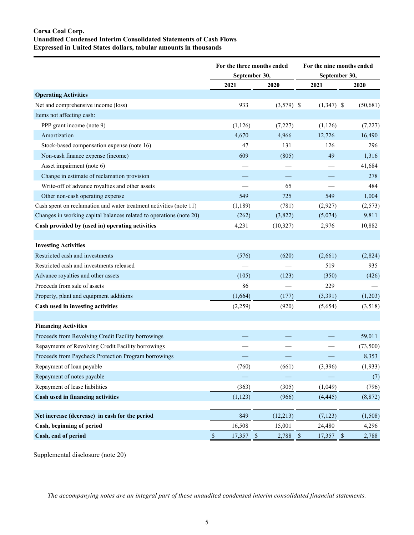# **Corsa Coal Corp. Unaudited Condensed Interim Consolidated Statements of Cash Flows Expressed in United States dollars, tabular amounts in thousands**

|                                                                     | For the three months ended |              | For the nine months ended |          |  |  |  |  |
|---------------------------------------------------------------------|----------------------------|--------------|---------------------------|----------|--|--|--|--|
|                                                                     | September 30,              |              | September 30,             |          |  |  |  |  |
|                                                                     | 2021                       | 2020         | 2021                      | 2020     |  |  |  |  |
| <b>Operating Activities</b>                                         |                            |              |                           |          |  |  |  |  |
| Net and comprehensive income (loss)                                 | 933                        | $(3,579)$ \$ | $(1,347)$ \$              | (50,681) |  |  |  |  |
| Items not affecting cash:                                           |                            |              |                           |          |  |  |  |  |
| PPP grant income (note 9)                                           | (1, 126)                   | (7,227)      | (1, 126)                  | (7,227)  |  |  |  |  |
| Amortization                                                        | 4,670                      | 4,966        | 12,726                    | 16,490   |  |  |  |  |
| Stock-based compensation expense (note 16)                          | 47                         | 131          | 126                       | 296      |  |  |  |  |
| Non-cash finance expense (income)                                   | 609                        | (805)        | 49                        | 1,316    |  |  |  |  |
| Asset impairment (note 6)                                           |                            |              |                           | 41,684   |  |  |  |  |
| Change in estimate of reclamation provision                         |                            |              |                           | 278      |  |  |  |  |
| Write-off of advance royalties and other assets                     |                            | 65           |                           | 484      |  |  |  |  |
| Other non-cash operating expense                                    | 549                        | 725          | 549                       | 1,004    |  |  |  |  |
| Cash spent on reclamation and water treatment activities (note 11)  | (1, 189)                   | (781)        | (2,927)                   | (2,573)  |  |  |  |  |
| Changes in working capital balances related to operations (note 20) | (262)                      | (3,822)      | (5,074)                   | 9,811    |  |  |  |  |
| Cash provided by (used in) operating activities                     | 4,231                      | (10, 327)    | 2,976                     | 10,882   |  |  |  |  |
|                                                                     |                            |              |                           |          |  |  |  |  |
| <b>Investing Activities</b>                                         |                            |              |                           |          |  |  |  |  |
| Restricted cash and investments                                     | (576)                      | (620)        | (2,661)                   | (2,824)  |  |  |  |  |
| Restricted cash and investments released                            |                            |              | 519                       | 935      |  |  |  |  |
| Advance royalties and other assets                                  | (105)                      | (123)        | (350)                     | (426)    |  |  |  |  |
| Proceeds from sale of assets                                        | 86                         |              | 229                       |          |  |  |  |  |
| Property, plant and equipment additions                             | (1,664)                    | (177)        | (3,391)                   | (1,203)  |  |  |  |  |
| Cash used in investing activities                                   | (2,259)                    | (920)        | (5,654)                   | (3,518)  |  |  |  |  |
|                                                                     |                            |              |                           |          |  |  |  |  |
| <b>Financing Activities</b>                                         |                            |              |                           |          |  |  |  |  |
| Proceeds from Revolving Credit Facility borrowings                  |                            |              |                           | 59,011   |  |  |  |  |
| Repayments of Revolving Credit Facility borrowings                  |                            |              |                           | (73,500) |  |  |  |  |
| Proceeds from Paycheck Protection Program borrowings                |                            |              |                           | 8,353    |  |  |  |  |
| Repayment of loan payable                                           | (760)                      | (661)        | (3,396)                   | (1,933)  |  |  |  |  |
| Repayment of notes payable                                          |                            |              |                           | (7)      |  |  |  |  |
| Repayment of lease liabilities                                      | (363)                      | (305)        | (1,049)                   | (796)    |  |  |  |  |
| Cash used in financing activities                                   | (1, 123)                   | (966)        | (4, 445)                  | (8, 872) |  |  |  |  |
|                                                                     |                            |              |                           |          |  |  |  |  |
| Net increase (decrease) in cash for the period                      | 849                        | (12, 213)    | (7, 123)                  | (1,508)  |  |  |  |  |
| Cash, beginning of period                                           | 16,508                     | 15,001       | 24,480                    | 4,296    |  |  |  |  |
| Cash, end of period                                                 | $\mathbb S$<br>17,357 \$   | 2,788        | $\sqrt{S}$<br>17,357 \$   | 2,788    |  |  |  |  |

Supplemental disclosure (note 20)

*The accompanying notes are an integral part of these unaudited condensed interim consolidated financial statements.*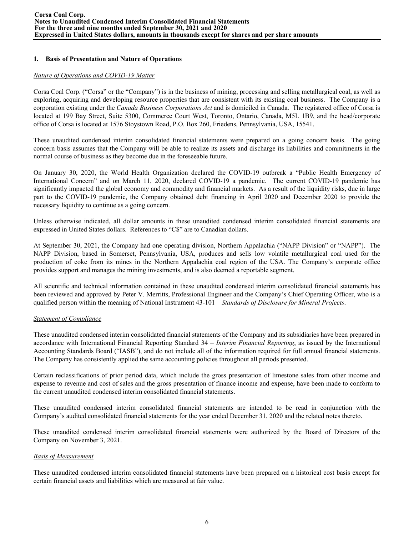# **1. Basis of Presentation and Nature of Operations**

## *Nature of Operations and COVID-19 Matter*

Corsa Coal Corp. ("Corsa" or the "Company") is in the business of mining, processing and selling metallurgical coal, as well as exploring, acquiring and developing resource properties that are consistent with its existing coal business. The Company is a corporation existing under the *Canada Business Corporations Act* and is domiciled in Canada. The registered office of Corsa is located at 199 Bay Street, Suite 5300, Commerce Court West, Toronto, Ontario, Canada, M5L 1B9, and the head/corporate office of Corsa is located at 1576 Stoystown Road, P.O. Box 260, Friedens, Pennsylvania, USA, 15541.

These unaudited condensed interim consolidated financial statements were prepared on a going concern basis. The going concern basis assumes that the Company will be able to realize its assets and discharge its liabilities and commitments in the normal course of business as they become due in the foreseeable future.

On January 30, 2020, the World Health Organization declared the COVID-19 outbreak a "Public Health Emergency of International Concern" and on March 11, 2020, declared COVID-19 a pandemic. The current COVID-19 pandemic has significantly impacted the global economy and commodity and financial markets. As a result of the liquidity risks, due in large part to the COVID-19 pandemic, the Company obtained debt financing in April 2020 and December 2020 to provide the necessary liquidity to continue as a going concern.

Unless otherwise indicated, all dollar amounts in these unaudited condensed interim consolidated financial statements are expressed in United States dollars. References to "C\$" are to Canadian dollars.

At September 30, 2021, the Company had one operating division, Northern Appalachia ("NAPP Division" or "NAPP"). The NAPP Division, based in Somerset, Pennsylvania, USA, produces and sells low volatile metallurgical coal used for the production of coke from its mines in the Northern Appalachia coal region of the USA. The Company's corporate office provides support and manages the mining investments, and is also deemed a reportable segment.

All scientific and technical information contained in these unaudited condensed interim consolidated financial statements has been reviewed and approved by Peter V. Merritts, Professional Engineer and the Company's Chief Operating Officer, who is a qualified person within the meaning of National Instrument 43-101 – *Standards of Disclosure for Mineral Projects*.

## *Statement of Compliance*

These unaudited condensed interim consolidated financial statements of the Company and its subsidiaries have been prepared in accordance with International Financial Reporting Standard 34 – *Interim Financial Reporting*, as issued by the International Accounting Standards Board ("IASB"), and do not include all of the information required for full annual financial statements. The Company has consistently applied the same accounting policies throughout all periods presented.

Certain reclassifications of prior period data, which include the gross presentation of limestone sales from other income and expense to revenue and cost of sales and the gross presentation of finance income and expense, have been made to conform to the current unaudited condensed interim consolidated financial statements.

These unaudited condensed interim consolidated financial statements are intended to be read in conjunction with the Company's audited consolidated financial statements for the year ended December 31, 2020 and the related notes thereto.

These unaudited condensed interim consolidated financial statements were authorized by the Board of Directors of the Company on November 3, 2021.

#### *Basis of Measurement*

These unaudited condensed interim consolidated financial statements have been prepared on a historical cost basis except for certain financial assets and liabilities which are measured at fair value.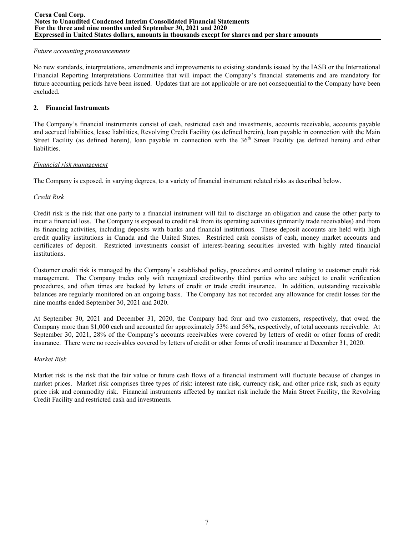### *Future accounting pronouncements*

No new standards, interpretations, amendments and improvements to existing standards issued by the IASB or the International Financial Reporting Interpretations Committee that will impact the Company's financial statements and are mandatory for future accounting periods have been issued. Updates that are not applicable or are not consequential to the Company have been excluded.

# **2. Financial Instruments**

The Company's financial instruments consist of cash, restricted cash and investments, accounts receivable, accounts payable and accrued liabilities, lease liabilities, Revolving Credit Facility (as defined herein), loan payable in connection with the Main Street Facility (as defined herein), loan payable in connection with the 36<sup>th</sup> Street Facility (as defined herein) and other liabilities.

## *Financial risk management*

The Company is exposed, in varying degrees, to a variety of financial instrument related risks as described below.

# *Credit Risk*

Credit risk is the risk that one party to a financial instrument will fail to discharge an obligation and cause the other party to incur a financial loss. The Company is exposed to credit risk from its operating activities (primarily trade receivables) and from its financing activities, including deposits with banks and financial institutions. These deposit accounts are held with high credit quality institutions in Canada and the United States. Restricted cash consists of cash, money market accounts and certificates of deposit. Restricted investments consist of interest-bearing securities invested with highly rated financial institutions.

Customer credit risk is managed by the Company's established policy, procedures and control relating to customer credit risk management. The Company trades only with recognized creditworthy third parties who are subject to credit verification procedures, and often times are backed by letters of credit or trade credit insurance. In addition, outstanding receivable balances are regularly monitored on an ongoing basis. The Company has not recorded any allowance for credit losses for the nine months ended September 30, 2021 and 2020.

At September 30, 2021 and December 31, 2020, the Company had four and two customers, respectively, that owed the Company more than \$1,000 each and accounted for approximately 53% and 56%, respectively, of total accounts receivable. At September 30, 2021, 28% of the Company's accounts receivables were covered by letters of credit or other forms of credit insurance. There were no receivables covered by letters of credit or other forms of credit insurance at December 31, 2020.

## *Market Risk*

Market risk is the risk that the fair value or future cash flows of a financial instrument will fluctuate because of changes in market prices. Market risk comprises three types of risk: interest rate risk, currency risk, and other price risk, such as equity price risk and commodity risk. Financial instruments affected by market risk include the Main Street Facility, the Revolving Credit Facility and restricted cash and investments.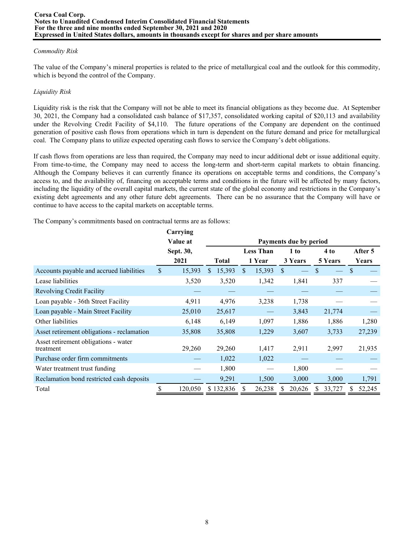## *Commodity Risk*

The value of the Company's mineral properties is related to the price of metallurgical coal and the outlook for this commodity, which is beyond the control of the Company.

# *Liquidity Risk*

Liquidity risk is the risk that the Company will not be able to meet its financial obligations as they become due. At September 30, 2021, the Company had a consolidated cash balance of \$17,357, consolidated working capital of \$20,113 and availability under the Revolving Credit Facility of \$4,110. The future operations of the Company are dependent on the continued generation of positive cash flows from operations which in turn is dependent on the future demand and price for metallurgical coal. The Company plans to utilize expected operating cash flows to service the Company's debt obligations.

If cash flows from operations are less than required, the Company may need to incur additional debt or issue additional equity. From time-to-time, the Company may need to access the long-term and short-term capital markets to obtain financing. Although the Company believes it can currently finance its operations on acceptable terms and conditions, the Company's access to, and the availability of, financing on acceptable terms and conditions in the future will be affected by many factors, including the liquidity of the overall capital markets, the current state of the global economy and restrictions in the Company's existing debt agreements and any other future debt agreements. There can be no assurance that the Company will have or continue to have access to the capital markets on acceptable terms.

The Company's commitments based on contractual terms are as follows:

|                                                   | Carrying     |                        |              |    |                  |               |         |         |        |               |         |
|---------------------------------------------------|--------------|------------------------|--------------|----|------------------|---------------|---------|---------|--------|---------------|---------|
|                                                   | Value at     | Payments due by period |              |    |                  |               |         |         |        |               |         |
|                                                   | Sept. 30,    |                        |              |    | <b>Less Than</b> |               | 1 to    |         | 4 to   |               | After 5 |
|                                                   | 2021         |                        | <b>Total</b> |    | 1 Year           |               | 3 Years | 5 Years |        |               | Years   |
| Accounts payable and accrued liabilities          | \$<br>15,393 | S.                     | 15,393       | \$ | 15,393           | <sup>\$</sup> |         |         |        | <sup>\$</sup> |         |
| Lease liabilities                                 | 3,520        |                        | 3,520        |    | 1,342            |               | 1,841   |         | 337    |               |         |
| <b>Revolving Credit Facility</b>                  |              |                        |              |    |                  |               |         |         |        |               |         |
| Loan payable - 36th Street Facility               | 4,911        |                        | 4,976        |    | 3,238            |               | 1,738   |         |        |               |         |
| Loan payable - Main Street Facility               | 25,010       |                        | 25,617       |    |                  |               | 3,843   |         | 21,774 |               |         |
| Other liabilities                                 | 6,148        |                        | 6,149        |    | 1,097            |               | 1,886   |         | 1,886  |               | 1,280   |
| Asset retirement obligations - reclamation        | 35,808       |                        | 35,808       |    | 1,229            |               | 3,607   |         | 3,733  |               | 27,239  |
| Asset retirement obligations - water<br>treatment | 29,260       |                        | 29,260       |    | 1,417            |               | 2,911   |         | 2,997  |               | 21,935  |
| Purchase order firm commitments                   |              |                        | 1,022        |    | 1,022            |               |         |         |        |               |         |
| Water treatment trust funding                     |              |                        | 1,800        |    |                  |               | 1,800   |         |        |               |         |
| Reclamation bond restricted cash deposits         |              |                        | 9,291        |    | 1,500            |               | 3,000   |         | 3,000  |               | 1,791   |
| Total                                             | 120,050      |                        | \$132,836    |    | 26,238           |               | 20,626  |         | 33,727 |               | 52,245  |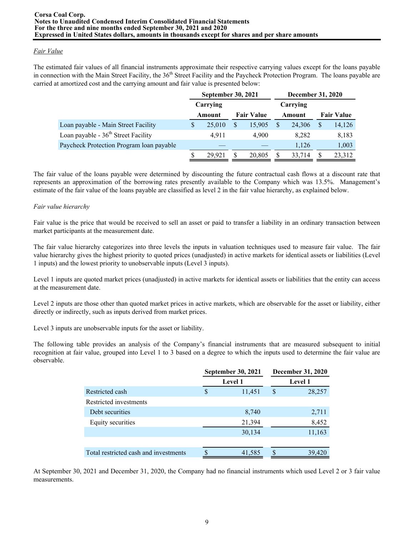# *Fair Value*

The estimated fair values of all financial instruments approximate their respective carrying values except for the loans payable in connection with the Main Street Facility, the 36<sup>th</sup> Street Facility and the Paycheck Protection Program. The loans payable are carried at amortized cost and the carrying amount and fair value is presented below:

|                                          | <b>September 30, 2021</b> |                   | <b>December 31, 2020</b> |   |                   |
|------------------------------------------|---------------------------|-------------------|--------------------------|---|-------------------|
|                                          | Carrying                  |                   | Carrying                 |   |                   |
|                                          | Amount                    | <b>Fair Value</b> | Amount                   |   | <b>Fair Value</b> |
| Loan payable - Main Street Facility      | \$<br>25,010              | \$<br>15,905      | 24,306                   | S | 14,126            |
| Loan payable - $36th$ Street Facility    | 4,911                     | 4.900             | 8,282                    |   | 8,183             |
| Paycheck Protection Program loan payable |                           |                   | 1,126                    |   | 1,003             |
|                                          | 29.921                    | \$<br>20,805      | 33,714                   |   | 23,312            |

The fair value of the loans payable were determined by discounting the future contractual cash flows at a discount rate that represents an approximation of the borrowing rates presently available to the Company which was 13.5%. Management's estimate of the fair value of the loans payable are classified as level 2 in the fair value hierarchy, as explained below.

# *Fair value hierarchy*

Fair value is the price that would be received to sell an asset or paid to transfer a liability in an ordinary transaction between market participants at the measurement date.

The fair value hierarchy categorizes into three levels the inputs in valuation techniques used to measure fair value. The fair value hierarchy gives the highest priority to quoted prices (unadjusted) in active markets for identical assets or liabilities (Level 1 inputs) and the lowest priority to unobservable inputs (Level 3 inputs).

Level 1 inputs are quoted market prices (unadjusted) in active markets for identical assets or liabilities that the entity can access at the measurement date.

Level 2 inputs are those other than quoted market prices in active markets, which are observable for the asset or liability, either directly or indirectly, such as inputs derived from market prices.

Level 3 inputs are unobservable inputs for the asset or liability.

The following table provides an analysis of the Company's financial instruments that are measured subsequent to initial recognition at fair value, grouped into Level 1 to 3 based on a degree to which the inputs used to determine the fair value are observable.

|                                       |               | <b>September 30, 2021</b> |   | <b>December 31, 2020</b> |
|---------------------------------------|---------------|---------------------------|---|--------------------------|
|                                       |               | <b>Level 1</b>            |   | <b>Level 1</b>           |
| Restricted cash                       | <sup>\$</sup> | 11,451                    | S | 28,257                   |
| Restricted investments                |               |                           |   |                          |
| Debt securities                       |               | 8,740                     |   | 2,711                    |
| Equity securities                     |               | 21,394                    |   | 8,452                    |
|                                       |               | 30,134                    |   | 11,163                   |
|                                       |               |                           |   |                          |
| Total restricted cash and investments |               | 41,585                    |   | 39,420                   |

At September 30, 2021 and December 31, 2020, the Company had no financial instruments which used Level 2 or 3 fair value measurements.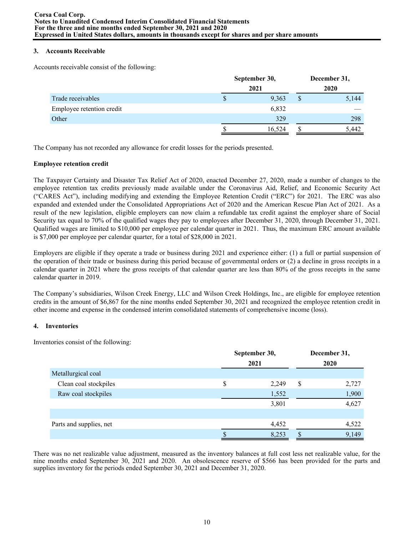## **3. Accounts Receivable**

Accounts receivable consist of the following:

|                           |   | September 30, | December 31, |       |  |  |  |
|---------------------------|---|---------------|--------------|-------|--|--|--|
|                           |   | 2021          |              | 2020  |  |  |  |
| Trade receivables         | S | 9,363         | \$           | 5,144 |  |  |  |
| Employee retention credit |   | 6,832         |              |       |  |  |  |
| Other                     |   | 329           |              | 298   |  |  |  |
|                           |   | 16,524        |              | 5,442 |  |  |  |

The Company has not recorded any allowance for credit losses for the periods presented.

### **Employee retention credit**

The Taxpayer Certainty and Disaster Tax Relief Act of 2020, enacted December 27, 2020, made a number of changes to the employee retention tax credits previously made available under the Coronavirus Aid, Relief, and Economic Security Act ("CARES Act"), including modifying and extending the Employee Retention Credit ("ERC") for 2021. The ERC was also expanded and extended under the Consolidated Appropriations Act of 2020 and the American Rescue Plan Act of 2021. As a result of the new legislation, eligible employers can now claim a refundable tax credit against the employer share of Social Security tax equal to 70% of the qualified wages they pay to employees after December 31, 2020, through December 31, 2021. Qualified wages are limited to \$10,000 per employee per calendar quarter in 2021. Thus, the maximum ERC amount available is \$7,000 per employee per calendar quarter, for a total of \$28,000 in 2021.

Employers are eligible if they operate a trade or business during 2021 and experience either: (1) a full or partial suspension of the operation of their trade or business during this period because of governmental orders or (2) a decline in gross receipts in a calendar quarter in 2021 where the gross receipts of that calendar quarter are less than 80% of the gross receipts in the same calendar quarter in 2019.

The Company's subsidiaries, Wilson Creek Energy, LLC and Wilson Creek Holdings, Inc., are eligible for employee retention credits in the amount of \$6,867 for the nine months ended September 30, 2021 and recognized the employee retention credit in other income and expense in the condensed interim consolidated statements of comprehensive income (loss).

## **4. Inventories**

Inventories consist of the following:

|                         | September 30,<br>2021 |   |       |  |  |
|-------------------------|-----------------------|---|-------|--|--|
| Metallurgical coal      |                       |   | 2020  |  |  |
| Clean coal stockpiles   | \$<br>2,249           | S | 2,727 |  |  |
| Raw coal stockpiles     | 1,552                 |   | 1,900 |  |  |
|                         | 3,801                 |   | 4,627 |  |  |
|                         |                       |   |       |  |  |
| Parts and supplies, net | 4,452                 |   | 4,522 |  |  |
|                         | 8,253                 |   | 9,149 |  |  |

There was no net realizable value adjustment, measured as the inventory balances at full cost less net realizable value, for the nine months ended September 30, 2021 and 2020. An obsolescence reserve of \$566 has been provided for the parts and supplies inventory for the periods ended September 30, 2021 and December 31, 2020.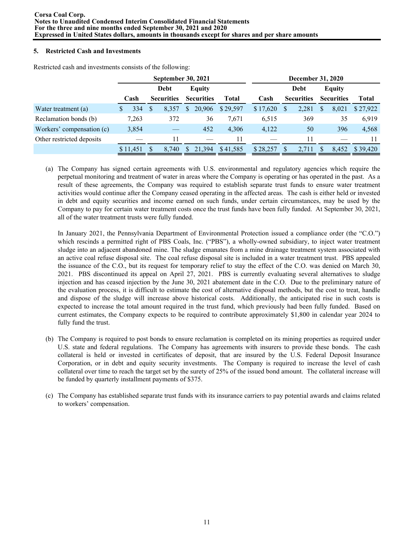# **5. Restricted Cash and Investments**

|                           |          | <b>September 30, 2021</b> |                   |               |                   |              |          |   | <b>December 31, 2020</b> |    |                   |          |
|---------------------------|----------|---------------------------|-------------------|---------------|-------------------|--------------|----------|---|--------------------------|----|-------------------|----------|
|                           |          |                           | Debt              |               | Equity            |              |          |   | Debt                     |    | <b>Equity</b>     |          |
|                           | Cash     |                           | <b>Securities</b> |               | <b>Securities</b> | <b>Total</b> | Cash     |   | <b>Securities</b>        |    | <b>Securities</b> | Total    |
| Water treatment (a)       | 334      | S                         | 8,357             | \$            | 20,906            | \$29.597     | \$17,620 | S | 2,281                    | \$ | 8,021             | \$27,922 |
| Reclamation bonds (b)     | 7,263    |                           | 372               |               | 36                | 7,671        | 6,515    |   | 369                      |    | 35                | 6,919    |
| Workers' compensation (c) | 3,854    |                           |                   |               | 452               | 4,306        | 4,122    |   | 50                       |    | 396               | 4,568    |
| Other restricted deposits |          |                           | 11                |               |                   | 11           |          |   | 11                       |    |                   |          |
|                           | \$11,451 |                           | 8.740             | <sup>\$</sup> | 21.394            | \$41,585     | \$28,257 |   | 2.711                    | S  | 8.452             | \$39.420 |

Restricted cash and investments consists of the following:

(a) The Company has signed certain agreements with U.S. environmental and regulatory agencies which require the perpetual monitoring and treatment of water in areas where the Company is operating or has operated in the past. As a result of these agreements, the Company was required to establish separate trust funds to ensure water treatment activities would continue after the Company ceased operating in the affected areas. The cash is either held or invested in debt and equity securities and income earned on such funds, under certain circumstances, may be used by the Company to pay for certain water treatment costs once the trust funds have been fully funded. At September 30, 2021, all of the water treatment trusts were fully funded.

In January 2021, the Pennsylvania Department of Environmental Protection issued a compliance order (the "C.O.") which rescinds a permitted right of PBS Coals, Inc. ("PBS"), a wholly-owned subsidiary, to inject water treatment sludge into an adjacent abandoned mine. The sludge emanates from a mine drainage treatment system associated with an active coal refuse disposal site. The coal refuse disposal site is included in a water treatment trust. PBS appealed the issuance of the C.O., but its request for temporary relief to stay the effect of the C.O. was denied on March 30, 2021. PBS discontinued its appeal on April 27, 2021. PBS is currently evaluating several alternatives to sludge injection and has ceased injection by the June 30, 2021 abatement date in the C.O. Due to the preliminary nature of the evaluation process, it is difficult to estimate the cost of alternative disposal methods, but the cost to treat, handle and dispose of the sludge will increase above historical costs. Additionally, the anticipated rise in such costs is expected to increase the total amount required in the trust fund, which previously had been fully funded. Based on current estimates, the Company expects to be required to contribute approximately \$1,800 in calendar year 2024 to fully fund the trust.

- (b) The Company is required to post bonds to ensure reclamation is completed on its mining properties as required under U.S. state and federal regulations. The Company has agreements with insurers to provide these bonds. The cash collateral is held or invested in certificates of deposit, that are insured by the U.S. Federal Deposit Insurance Corporation, or in debt and equity security investments. The Company is required to increase the level of cash collateral over time to reach the target set by the surety of 25% of the issued bond amount. The collateral increase will be funded by quarterly installment payments of \$375.
- (c) The Company has established separate trust funds with its insurance carriers to pay potential awards and claims related to workers' compensation.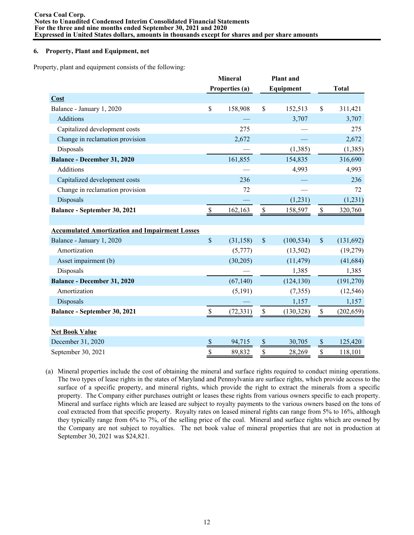## **6. Property, Plant and Equipment, net**

Property, plant and equipment consists of the following:

|                                                       | <b>Mineral</b> |                |               | <b>Plant</b> and |                      |              |
|-------------------------------------------------------|----------------|----------------|---------------|------------------|----------------------|--------------|
|                                                       |                | Properties (a) |               | Equipment        |                      | <b>Total</b> |
| Cost                                                  |                |                |               |                  |                      |              |
| Balance - January 1, 2020                             | \$             | 158,908        | $\mathsf{\$}$ | 152,513          | \$                   | 311,421      |
| <b>Additions</b>                                      |                |                |               | 3,707            |                      | 3,707        |
| Capitalized development costs                         |                | 275            |               |                  |                      | 275          |
| Change in reclamation provision                       |                | 2,672          |               |                  |                      | 2,672        |
| Disposals                                             |                |                |               | (1, 385)         |                      | (1,385)      |
| <b>Balance - December 31, 2020</b>                    |                | 161,855        |               | 154,835          |                      | 316,690      |
| <b>Additions</b>                                      |                |                |               | 4,993            |                      | 4,993        |
| Capitalized development costs                         |                | 236            |               |                  |                      | 236          |
| Change in reclamation provision                       |                | 72             |               |                  |                      | 72           |
| <b>Disposals</b>                                      |                |                |               | (1,231)          |                      | (1,231)      |
| Balance - September 30, 2021                          | $\$$           | 162,163        | $\$$          | 158,597          | $\mathbb S$          | 320,760      |
|                                                       |                |                |               |                  |                      |              |
| <b>Accumulated Amortization and Impairment Losses</b> |                |                |               |                  |                      |              |
| Balance - January 1, 2020                             | $\mathsf{\$}$  | (31, 158)      | $\mathsf{\$}$ | (100, 534)       | $\mathcal{S}$        | (131,692)    |
| Amortization                                          |                | (5,777)        |               | (13,502)         |                      | (19,279)     |
| Asset impairment (b)                                  |                | (30,205)       |               | (11, 479)        |                      | (41, 684)    |
| Disposals                                             |                |                |               | 1,385            |                      | 1,385        |
| <b>Balance - December 31, 2020</b>                    |                | (67, 140)      |               | (124, 130)       |                      | (191, 270)   |
| Amortization                                          |                | (5,191)        |               | (7, 355)         |                      | (12, 546)    |
| Disposals                                             |                |                |               | 1,157            |                      | 1,157        |
| <b>Balance - September 30, 2021</b>                   | $\$$           | (72, 331)      | $\$$          | (130, 328)       | $\mathbb S$          | (202, 659)   |
|                                                       |                |                |               |                  |                      |              |
| <b>Net Book Value</b>                                 |                |                |               |                  |                      |              |
| December 31, 2020                                     | \$             | 94,715         | S             | 30,705           | $\frac{S}{\sqrt{2}}$ | 125,420      |
| September 30, 2021                                    | \$             | 89,832         | \$            | 28,269           | \$                   | 118,101      |

(a) Mineral properties include the cost of obtaining the mineral and surface rights required to conduct mining operations. The two types of lease rights in the states of Maryland and Pennsylvania are surface rights, which provide access to the surface of a specific property, and mineral rights, which provide the right to extract the minerals from a specific property. The Company either purchases outright or leases these rights from various owners specific to each property. Mineral and surface rights which are leased are subject to royalty payments to the various owners based on the tons of coal extracted from that specific property. Royalty rates on leased mineral rights can range from 5% to 16%, although they typically range from 6% to 7%, of the selling price of the coal. Mineral and surface rights which are owned by the Company are not subject to royalties. The net book value of mineral properties that are not in production at September 30, 2021 was \$24,821.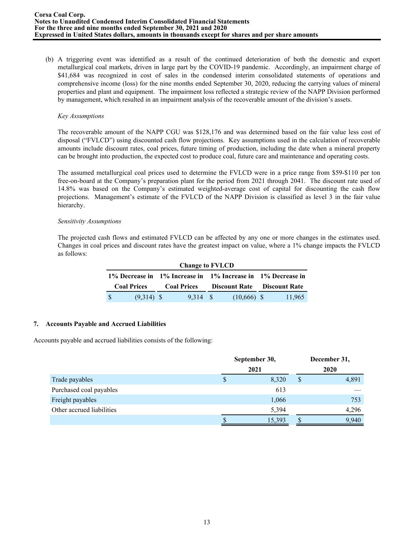(b) A triggering event was identified as a result of the continued deterioration of both the domestic and export metallurgical coal markets, driven in large part by the COVID-19 pandemic. Accordingly, an impairment charge of \$41,684 was recognized in cost of sales in the condensed interim consolidated statements of operations and comprehensive income (loss) for the nine months ended September 30, 2020, reducing the carrying values of mineral properties and plant and equipment. The impairment loss reflected a strategic review of the NAPP Division performed by management, which resulted in an impairment analysis of the recoverable amount of the division's assets.

## *Key Assumptions*

The recoverable amount of the NAPP CGU was \$128,176 and was determined based on the fair value less cost of disposal ("FVLCD") using discounted cash flow projections. Key assumptions used in the calculation of recoverable amounts include discount rates, coal prices, future timing of production, including the date when a mineral property can be brought into production, the expected cost to produce coal, future care and maintenance and operating costs.

The assumed metallurgical coal prices used to determine the FVLCD were in a price range from \$59-\$110 per ton free-on-board at the Company's preparation plant for the period from 2021 through 2041. The discount rate used of 14.8% was based on the Company's estimated weighted-average cost of capital for discounting the cash flow projections. Management's estimate of the FVLCD of the NAPP Division is classified as level 3 in the fair value hierarchy.

### *Sensitivity Assumptions*

The projected cash flows and estimated FVLCD can be affected by any one or more changes in the estimates used. Changes in coal prices and discount rates have the greatest impact on value, where a 1% change impacts the FVLCD as follows:

|              | <b>Change to FVLCD</b>                                      |  |                    |  |                                    |  |        |  |  |  |  |  |  |
|--------------|-------------------------------------------------------------|--|--------------------|--|------------------------------------|--|--------|--|--|--|--|--|--|
|              | 1% Decrease in 1% Increase in 1% Increase in 1% Decrease in |  |                    |  |                                    |  |        |  |  |  |  |  |  |
|              | <b>Coal Prices</b>                                          |  | <b>Coal Prices</b> |  | <b>Discount Rate</b> Discount Rate |  |        |  |  |  |  |  |  |
| <sup>S</sup> | $(9,314)$ \$                                                |  | 9.314 \$           |  | $(10,666)$ \$                      |  | 11,965 |  |  |  |  |  |  |

## **7. Accounts Payable and Accrued Liabilities**

Accounts payable and accrued liabilities consists of the following:

|                           |   | September 30, |      | December 31, |  |  |
|---------------------------|---|---------------|------|--------------|--|--|
|                           |   | 2021          | 2020 |              |  |  |
| Trade payables            | S | 8,320         | S    | 4,891        |  |  |
| Purchased coal payables   |   | 613           |      |              |  |  |
| Freight payables          |   | 1,066         |      | 753          |  |  |
| Other accrued liabilities |   | 5,394         |      | 4,296        |  |  |
|                           |   | 15,393        |      | 9.940        |  |  |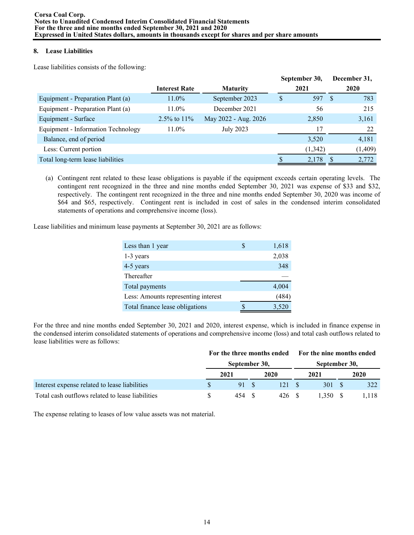# **8. Lease Liabilities**

Lease liabilities consists of the following:

|                                    |                      |                      |   | September 30, |     | December 31, |
|------------------------------------|----------------------|----------------------|---|---------------|-----|--------------|
|                                    | <b>Interest Rate</b> | <b>Maturity</b>      |   | 2021          |     | 2020         |
| Equipment - Preparation Plant (a)  | $11.0\%$             | September 2023       | S | 597           | - S | 783          |
| Equipment - Preparation Plant (a)  | $11.0\%$             | December 2021        |   | 56            |     | 215          |
| Equipment - Surface                | 2.5% to $11\%$       | May 2022 - Aug. 2026 |   | 2,850         |     | 3,161        |
| Equipment - Information Technology | $11.0\%$             | <b>July 2023</b>     |   | 17            |     | 22           |
| Balance, end of period             |                      |                      |   | 3,520         |     | 4,181        |
| Less: Current portion              |                      |                      |   | (1,342)       |     | (1,409)      |
| Total long-term lease liabilities  |                      |                      |   | 2,178         |     | 2,772        |

(a) Contingent rent related to these lease obligations is payable if the equipment exceeds certain operating levels. The contingent rent recognized in the three and nine months ended September 30, 2021 was expense of \$33 and \$32, respectively. The contingent rent recognized in the three and nine months ended September 30, 2020 was income of \$64 and \$65, respectively. Contingent rent is included in cost of sales in the condensed interim consolidated statements of operations and comprehensive income (loss).

Lease liabilities and minimum lease payments at September 30, 2021 are as follows:

| Less than 1 year                    | 1,618 |
|-------------------------------------|-------|
| 1-3 years                           | 2,038 |
| 4-5 years                           | 348   |
| Thereafter                          |       |
| Total payments                      | 4,004 |
| Less: Amounts representing interest | (484) |
| Total finance lease obligations     | 3,520 |

For the three and nine months ended September 30, 2021 and 2020, interest expense, which is included in finance expense in the condensed interim consolidated statements of operations and comprehensive income (loss) and total cash outflows related to lease liabilities were as follows:

|                                                  |               | For the three months ended | <b>Example 15 For the nine months ended</b> |  |      |  |
|--------------------------------------------------|---------------|----------------------------|---------------------------------------------|--|------|--|
|                                                  | September 30, |                            | September 30,                               |  |      |  |
|                                                  | 2021          | 2020                       | 2021                                        |  | 2020 |  |
| Interest expense related to lease liabilities    |               | 121.                       | 301                                         |  | 322  |  |
| Total cash outflows related to lease liabilities | 454           | 426 S                      | .350                                        |  | .118 |  |

The expense relating to leases of low value assets was not material.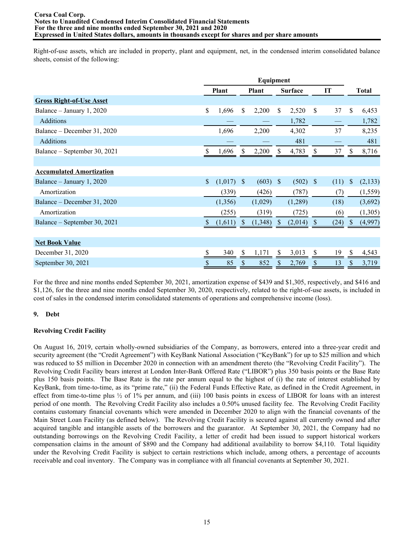Right-of-use assets, which are included in property, plant and equipment, net, in the condensed interim consolidated balance sheets, consist of the following:

|                                 |               | <b>Plant</b> |               | <b>Plant</b> |               | <b>Surface</b> |              | IT   |               | <b>Total</b> |
|---------------------------------|---------------|--------------|---------------|--------------|---------------|----------------|--------------|------|---------------|--------------|
| <b>Gross Right-of-Use Asset</b> |               |              |               |              |               |                |              |      |               |              |
| Balance - January 1, 2020       | \$            | 1,696        | \$            | 2,200        | \$            | 2,520          | \$           | 37   | \$            | 6,453        |
| Additions                       |               |              |               |              |               | 1,782          |              |      |               | 1,782        |
| Balance – December 31, 2020     |               | 1,696        |               | 2,200        |               | 4,302          |              | 37   |               | 8,235        |
| <b>Additions</b>                |               |              |               |              |               | 481            |              |      |               | 481          |
| Balance – September 30, 2021    |               | 1,696        | S             | 2,200        |               | 4,783          | S            | 37   |               | 8,716        |
|                                 |               |              |               |              |               |                |              |      |               |              |
| <b>Accumulated Amortization</b> |               |              |               |              |               |                |              |      |               |              |
| Balance – January 1, 2020       | $\mathsf{\$}$ | (1,017)      | $\mathbb{S}$  | (603)        | <sup>S</sup>  | (502)          | <sup>S</sup> | (11) | <sup>\$</sup> | (2,133)      |
| Amortization                    |               | (339)        |               | (426)        |               | (787)          |              | (7)  |               | (1, 559)     |
| Balance – December 31, 2020     |               | (1,356)      |               | (1,029)      |               | (1,289)        |              | (18) |               | (3,692)      |
| Amortization                    |               | (255)        |               | (319)        |               | (725)          |              | (6)  |               | (1,305)      |
| Balance – September 30, 2021    |               | (1,611)      | <sup>\$</sup> | (1,348)      | <sup>\$</sup> | (2,014)        | <sup>S</sup> | (24) | <sup>S</sup>  | (4,997)      |
|                                 |               |              |               |              |               |                |              |      |               |              |
| <b>Net Book Value</b>           |               |              |               |              |               |                |              |      |               |              |
| December 31, 2020               | \$            | 340          | $\mathbb{S}$  | 1,171        | \$            | 3,013          | \$           | 19   | \$            | 4,543        |
| September 30, 2021              | \$            | 85           | \$            | 852          |               | 2,769          | \$           | 13   | \$            | 3,719        |

For the three and nine months ended September 30, 2021, amortization expense of \$439 and \$1,305, respectively, and \$416 and \$1,126, for the three and nine months ended September 30, 2020, respectively, related to the right-of-use assets, is included in cost of sales in the condensed interim consolidated statements of operations and comprehensive income (loss).

## **9. Debt**

## **Revolving Credit Facility**

On August 16, 2019, certain wholly-owned subsidiaries of the Company, as borrowers, entered into a three-year credit and security agreement (the "Credit Agreement") with KeyBank National Association ("KeyBank") for up to \$25 million and which was reduced to \$5 million in December 2020 in connection with an amendment thereto (the "Revolving Credit Facility"). The Revolving Credit Facility bears interest at London Inter-Bank Offered Rate ("LIBOR") plus 350 basis points or the Base Rate plus 150 basis points. The Base Rate is the rate per annum equal to the highest of (i) the rate of interest established by KeyBank, from time-to-time, as its "prime rate," (ii) the Federal Funds Effective Rate, as defined in the Credit Agreement, in effect from time-to-time plus  $\frac{1}{2}$  of 1% per annum, and (iii) 100 basis points in excess of LIBOR for loans with an interest period of one month. The Revolving Credit Facility also includes a 0.50% unused facility fee. The Revolving Credit Facility contains customary financial covenants which were amended in December 2020 to align with the financial covenants of the Main Street Loan Facility (as defined below). The Revolving Credit Facility is secured against all currently owned and after acquired tangible and intangible assets of the borrowers and the guarantor. At September 30, 2021, the Company had no outstanding borrowings on the Revolving Credit Facility, a letter of credit had been issued to support historical workers compensation claims in the amount of \$890 and the Company had additional availability to borrow \$4,110. Total liquidity under the Revolving Credit Facility is subject to certain restrictions which include, among others, a percentage of accounts receivable and coal inventory. The Company was in compliance with all financial covenants at September 30, 2021.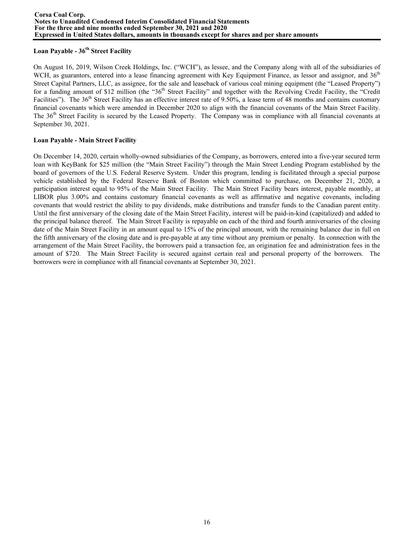# **Loan Payable - 36th Street Facility**

On August 16, 2019, Wilson Creek Holdings, Inc. ("WCH"), as lessee, and the Company along with all of the subsidiaries of WCH, as guarantors, entered into a lease financing agreement with Key Equipment Finance, as lessor and assignor, and 36<sup>th</sup> Street Capital Partners, LLC, as assignee, for the sale and leaseback of various coal mining equipment (the "Leased Property") for a funding amount of \$12 million (the "36<sup>th</sup> Street Facility" and together with the Revolving Credit Facility, the "Credit" Facilities"). The  $36<sup>th</sup>$  Street Facility has an effective interest rate of 9.50%, a lease term of 48 months and contains customary financial covenants which were amended in December 2020 to align with the financial covenants of the Main Street Facility. The 36<sup>th</sup> Street Facility is secured by the Leased Property. The Company was in compliance with all financial covenants at September 30, 2021.

# **Loan Payable - Main Street Facility**

On December 14, 2020, certain wholly-owned subsidiaries of the Company, as borrowers, entered into a five-year secured term loan with KeyBank for \$25 million (the "Main Street Facility") through the Main Street Lending Program established by the board of governors of the U.S. Federal Reserve System. Under this program, lending is facilitated through a special purpose vehicle established by the Federal Reserve Bank of Boston which committed to purchase, on December 21, 2020, a participation interest equal to 95% of the Main Street Facility. The Main Street Facility bears interest, payable monthly, at LIBOR plus 3.00% and contains customary financial covenants as well as affirmative and negative covenants, including covenants that would restrict the ability to pay dividends, make distributions and transfer funds to the Canadian parent entity. Until the first anniversary of the closing date of the Main Street Facility, interest will be paid-in-kind (capitalized) and added to the principal balance thereof. The Main Street Facility is repayable on each of the third and fourth anniversaries of the closing date of the Main Street Facility in an amount equal to 15% of the principal amount, with the remaining balance due in full on the fifth anniversary of the closing date and is pre-payable at any time without any premium or penalty. In connection with the arrangement of the Main Street Facility, the borrowers paid a transaction fee, an origination fee and administration fees in the amount of \$720. The Main Street Facility is secured against certain real and personal property of the borrowers. The borrowers were in compliance with all financial covenants at September 30, 2021.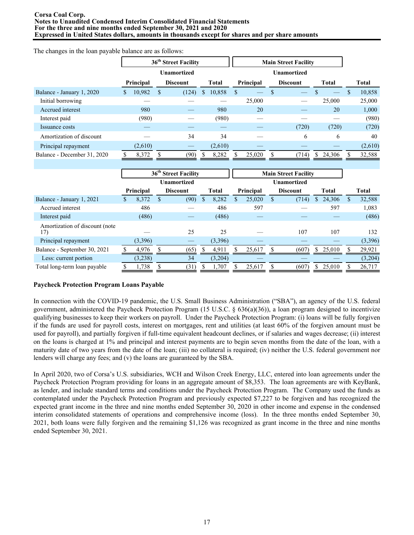#### **Corsa Coal Corp. Notes to Unaudited Condensed Interim Consolidated Financial Statements For the three and nine months ended September 30, 2021 and 2020 Expressed in United States dollars, amounts in thousands except for shares and per share amounts**

The changes in the loan payable balance are as follows:

|                             |   |           |    |                    |   | 36 <sup>th</sup> Street Facility |     |           |  |                 | <b>Main Street Facility</b> |              |  |              |  |  |  |
|-----------------------------|---|-----------|----|--------------------|---|----------------------------------|-----|-----------|--|-----------------|-----------------------------|--------------|--|--------------|--|--|--|
|                             |   |           |    | <b>Unamortized</b> |   |                                  |     |           |  |                 |                             |              |  |              |  |  |  |
|                             |   | Principal |    | <b>Discount</b>    |   | Total                            |     | Principal |  | <b>Discount</b> |                             | <b>Total</b> |  | <b>Total</b> |  |  |  |
| Balance - January 1, 2020   | S | 10,982    | S. | (124)              | S | 10,858                           | \$. |           |  |                 |                             |              |  | 10,858       |  |  |  |
| Initial borrowing           |   |           |    |                    |   |                                  |     | 25,000    |  |                 |                             | 25,000       |  | 25,000       |  |  |  |
| Accrued interest            |   | 980       |    |                    |   | 980                              |     | 20        |  |                 |                             | 20           |  | 1,000        |  |  |  |
| Interest paid               |   | (980)     |    |                    |   | (980)                            |     |           |  |                 |                             |              |  | (980)        |  |  |  |
| Issuance costs              |   |           |    |                    |   |                                  |     |           |  | (720)           |                             | (720)        |  | (720)        |  |  |  |
| Amortization of discount    |   |           |    | 34                 |   | 34                               |     |           |  | 6               |                             | 6            |  | 40           |  |  |  |
| Principal repayment         |   | (2,610)   |    |                    |   | (2,610)                          |     |           |  |                 |                             |              |  | (2,610)      |  |  |  |
| Balance - December 31, 2020 |   | 8,372     |    | (90)               |   | 8,282                            |     | 25,020    |  | (714)           |                             | 24,306       |  | 32,588       |  |  |  |

|                                        | 36 <sup>th</sup> Street Facility |  |                 |  |              | <b>Main Street Facility</b> |           |  |                 |    |              |   |         |
|----------------------------------------|----------------------------------|--|-----------------|--|--------------|-----------------------------|-----------|--|-----------------|----|--------------|---|---------|
|                                        | <b>Unamortized</b>               |  |                 |  |              | <b>Unamortized</b>          |           |  |                 |    |              |   |         |
|                                        | Principal                        |  | <b>Discount</b> |  | <b>Total</b> |                             | Principal |  | <b>Discount</b> |    | <b>Total</b> |   | Total   |
| Balance - January 1, 2021              | 8,372                            |  | (90)            |  | 8,282        |                             | 25,020    |  | (714)           | \$ | 24,306       | S | 32,588  |
| Accrued interest                       | 486                              |  |                 |  | 486          |                             | 597       |  |                 |    | 597          |   | 1,083   |
| Interest paid                          | (486)                            |  |                 |  | (486)        |                             |           |  |                 |    |              |   | (486)   |
| Amortization of discount (note)<br>17) |                                  |  | 25              |  | 25           |                             |           |  | 107             |    | 107          |   | 132     |
| Principal repayment                    | (3,396)                          |  |                 |  | (3,396)      |                             |           |  |                 |    |              |   | (3,396) |
| Balance - September 30, 2021           | 4,976                            |  | (65)            |  | 4,911        |                             | 25,617    |  | (607)           |    | \$25.010     |   | 29,921  |
| Less: current portion                  | (3,238)                          |  | 34              |  | (3,204)      |                             |           |  |                 |    |              |   | (3,204) |
| Total long-term loan payable           | 1,738                            |  | (31)            |  | 1,707        |                             | 25,617    |  | (607)           |    | 25,010       |   | 26,717  |

#### **Paycheck Protection Program Loans Payable**

In connection with the COVID-19 pandemic, the U.S. Small Business Administration ("SBA"), an agency of the U.S. federal government, administered the Paycheck Protection Program (15 U.S.C. § 636(a)(36)), a loan program designed to incentivize qualifying businesses to keep their workers on payroll. Under the Paycheck Protection Program: (i) loans will be fully forgiven if the funds are used for payroll costs, interest on mortgages, rent and utilities (at least 60% of the forgiven amount must be used for payroll), and partially forgiven if full-time equivalent headcount declines, or if salaries and wages decrease; (ii) interest on the loans is charged at 1% and principal and interest payments are to begin seven months from the date of the loan, with a maturity date of two years from the date of the loan; (iii) no collateral is required; (iv) neither the U.S. federal government nor lenders will charge any fees; and (v) the loans are guaranteed by the SBA.

In April 2020, two of Corsa's U.S. subsidiaries, WCH and Wilson Creek Energy, LLC, entered into loan agreements under the Paycheck Protection Program providing for loans in an aggregate amount of \$8,353. The loan agreements are with KeyBank, as lender, and include standard terms and conditions under the Paycheck Protection Program. The Company used the funds as contemplated under the Paycheck Protection Program and previously expected \$7,227 to be forgiven and has recognized the expected grant income in the three and nine months ended September 30, 2020 in other income and expense in the condensed interim consolidated statements of operations and comprehensive income (loss). In the three months ended September 30, 2021, both loans were fully forgiven and the remaining \$1,126 was recognized as grant income in the three and nine months ended September 30, 2021.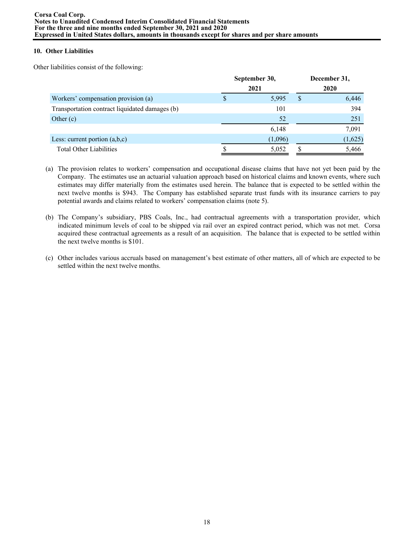# **10. Other Liabilities**

Other liabilities consist of the following:

|                                                | September 30, | December 31, |         |  |  |  |
|------------------------------------------------|---------------|--------------|---------|--|--|--|
|                                                | 2021          | 2020         |         |  |  |  |
| Workers' compensation provision (a)            | 5,995         | S            | 6,446   |  |  |  |
| Transportation contract liquidated damages (b) | 101           |              | 394     |  |  |  |
| Other $(c)$                                    | 52            |              | 251     |  |  |  |
|                                                | 6,148         |              | 7,091   |  |  |  |
| Less: current portion $(a,b,c)$                | (1,096)       |              | (1,625) |  |  |  |
| <b>Total Other Liabilities</b>                 | 5,052         |              | 5,466   |  |  |  |

- (a) The provision relates to workers' compensation and occupational disease claims that have not yet been paid by the Company. The estimates use an actuarial valuation approach based on historical claims and known events, where such estimates may differ materially from the estimates used herein. The balance that is expected to be settled within the next twelve months is \$943. The Company has established separate trust funds with its insurance carriers to pay potential awards and claims related to workers' compensation claims (note 5).
- (b) The Company's subsidiary, PBS Coals, Inc., had contractual agreements with a transportation provider, which indicated minimum levels of coal to be shipped via rail over an expired contract period, which was not met. Corsa acquired these contractual agreements as a result of an acquisition. The balance that is expected to be settled within the next twelve months is \$101.
- (c) Other includes various accruals based on management's best estimate of other matters, all of which are expected to be settled within the next twelve months.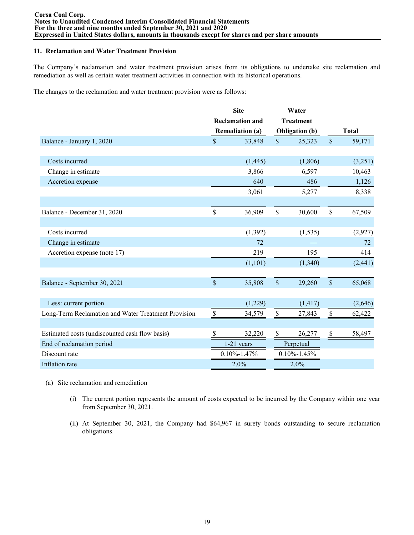## **11. Reclamation and Water Treatment Provision**

The Company's reclamation and water treatment provision arises from its obligations to undertake site reclamation and remediation as well as certain water treatment activities in connection with its historical operations.

The changes to the reclamation and water treatment provision were as follows:

|                                                     |                    | <b>Site</b>            |                           | Water                 |                    |              |
|-----------------------------------------------------|--------------------|------------------------|---------------------------|-----------------------|--------------------|--------------|
|                                                     |                    | <b>Reclamation and</b> |                           | <b>Treatment</b>      |                    |              |
|                                                     |                    | <b>Remediation (a)</b> |                           | <b>Obligation</b> (b) |                    | <b>Total</b> |
| Balance - January 1, 2020                           | $\mathbf{\hat{S}}$ | 33,848                 | $\mathsf{\$}$             | 25,323                | $\mathsf{\$}$      | 59,171       |
|                                                     |                    |                        |                           |                       |                    |              |
| Costs incurred                                      |                    | (1, 445)               |                           | (1,806)               |                    | (3,251)      |
| Change in estimate                                  |                    | 3,866                  |                           | 6,597                 |                    | 10,463       |
| Accretion expense                                   |                    | 640                    |                           | 486                   |                    | 1,126        |
|                                                     |                    | 3,061                  |                           | 5,277                 |                    | 8,338        |
|                                                     |                    |                        |                           |                       |                    |              |
| Balance - December 31, 2020                         | \$                 | 36,909                 | $\mathsf{\$}$             | 30,600                | \$                 | 67,509       |
|                                                     |                    |                        |                           |                       |                    |              |
| Costs incurred                                      |                    | (1, 392)               |                           | (1, 535)              |                    | (2,927)      |
| Change in estimate                                  |                    | 72                     |                           |                       |                    | 72           |
| Accretion expense (note 17)                         |                    | 219                    |                           | 195                   |                    | 414          |
|                                                     |                    | (1,101)                |                           | (1,340)               |                    | (2, 441)     |
|                                                     |                    |                        |                           |                       |                    |              |
| Balance - September 30, 2021                        | $\mathbf{\hat{S}}$ | 35,808                 | \$                        | 29,260                | $\mathbf{\hat{S}}$ | 65,068       |
|                                                     |                    |                        |                           |                       |                    |              |
| Less: current portion                               |                    | (1,229)                |                           | (1, 417)              |                    | (2,646)      |
| Long-Term Reclamation and Water Treatment Provision | \$                 | 34,579                 | $\boldsymbol{\mathsf{S}}$ | 27,843                | $\$$               | 62,422       |
|                                                     |                    |                        |                           |                       |                    |              |
| Estimated costs (undiscounted cash flow basis)      | S                  | 32,220                 | $\mathcal{S}$             | 26,277                | \$                 | 58,497       |
| End of reclamation period                           |                    | $1-21$ years           |                           | Perpetual             |                    |              |
| Discount rate                                       |                    | $0.10\% - 1.47\%$      |                           | $0.10\% - 1.45\%$     |                    |              |
| Inflation rate                                      |                    | 2.0%                   |                           | 2.0%                  |                    |              |

- (a) Site reclamation and remediation
	- (i) The current portion represents the amount of costs expected to be incurred by the Company within one year from September 30, 2021.
	- (ii) At September 30, 2021, the Company had \$64,967 in surety bonds outstanding to secure reclamation obligations.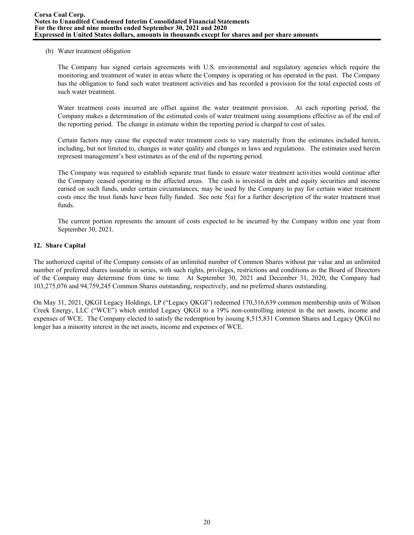## (b) Water treatment obligation

The Company has signed certain agreements with U.S. environmental and regulatory agencies which require the monitoring and treatment of water in areas where the Company is operating or has operated in the past. The Company has the obligation to fund such water treatment activities and has recorded a provision for the total expected costs of such water treatment.

Water treatment costs incurred are offset against the water treatment provision. At each reporting period, the Company makes a determination of the estimated costs of water treatment using assumptions effective as of the end of the reporting period. The change in estimate within the reporting period is charged to cost of sales.

Certain factors may cause the expected water treatment costs to vary materially from the estimates included herein, including, but not limited to, changes in water quality and changes in laws and regulations. The estimates used herein represent management's best estimates as of the end of the reporting period.

The Company was required to establish separate trust funds to ensure water treatment activities would continue after the Company ceased operating in the affected areas. The cash is invested in debt and equity securities and income earned on such funds, under certain circumstances, may be used by the Company to pay for certain water treatment costs once the trust funds have been fully funded. See note  $5(a)$  for a further description of the water treatment trust funds.

The current portion represents the amount of costs expected to be incurred by the Company within one year from September 30, 2021.

## **12. Share Capital**

The authorized capital of the Company consists of an unlimited number of Common Shares without par value and an unlimited number of preferred shares issuable in series, with such rights, privileges, restrictions and conditions as the Board of Directors of the Company may determine from time to time. At September 30, 2021 and December 31, 2020, the Company had 103,275,076 and 94,759,245 Common Shares outstanding, respectively, and no preferred shares outstanding.

On May 31, 2021, QKGI Legacy Holdings, LP ("Legacy QKGI") redeemed 170,316,639 common membership units of Wilson Creek Energy, LLC ("WCE") which entitled Legacy QKGI to a 19% non-controlling interest in the net assets, income and expenses of WCE. The Company elected to satisfy the redemption by issuing 8,515,831 Common Shares and Legacy QKGI no longer has a minority interest in the net assets, income and expenses of WCE.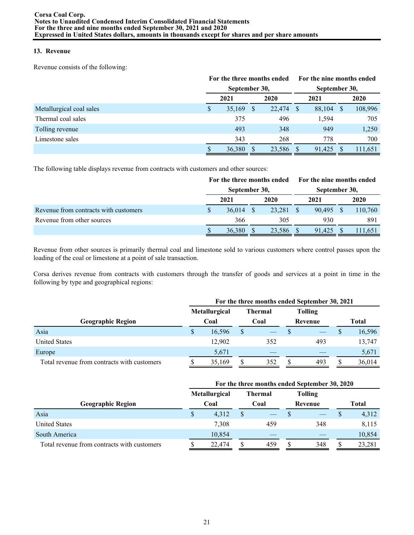# **13. Revenue**

Revenue consists of the following:

|                          |               | For the three months ended |              |        | For the nine months ended |               |      |         |  |  |  |
|--------------------------|---------------|----------------------------|--------------|--------|---------------------------|---------------|------|---------|--|--|--|
|                          | September 30, |                            |              |        |                           | September 30, |      |         |  |  |  |
|                          | 2020<br>2021  |                            |              |        | 2021                      |               | 2020 |         |  |  |  |
| Metallurgical coal sales | S             | 35,169                     | <sup>S</sup> | 22,474 |                           | 88,104        | S    | 108,996 |  |  |  |
| Thermal coal sales       |               | 375                        |              | 496    |                           | 1,594         |      | 705     |  |  |  |
| Tolling revenue          |               | 493                        |              | 348    |                           | 949           |      | 1,250   |  |  |  |
| Limestone sales          |               | 343                        |              | 268    |                           | 778           |      | 700     |  |  |  |
|                          |               | 36,380                     |              | 23,586 |                           | 91.425        |      | 111,651 |  |  |  |

The following table displays revenue from contracts with customers and other sources:

|                                       |               | For the three months ended | For the nine months ended |               |  |         |  |  |
|---------------------------------------|---------------|----------------------------|---------------------------|---------------|--|---------|--|--|
|                                       | September 30, |                            |                           | September 30, |  |         |  |  |
|                                       | 2021          | 2020                       |                           | 2021          |  | 2020    |  |  |
| Revenue from contracts with customers | 36,014        | 23.281                     |                           | 90.495        |  | 110,760 |  |  |
| Revenue from other sources            | 366           | 305                        |                           | 930           |  | 891     |  |  |
|                                       | 36,380        | 23,586                     |                           | 91.425        |  | 111.651 |  |  |

Revenue from other sources is primarily thermal coal and limestone sold to various customers where control passes upon the loading of the coal or limestone at a point of sale transaction.

Corsa derives revenue from contracts with customers through the transfer of goods and services at a point in time in the following by type and geographical regions:

|                                             | For the three months ended September 30, 2021 |                      |  |                |   |                |              |        |  |  |  |  |  |
|---------------------------------------------|-----------------------------------------------|----------------------|--|----------------|---|----------------|--------------|--------|--|--|--|--|--|
|                                             |                                               | <b>Metallurgical</b> |  | <b>Thermal</b> |   | <b>Tolling</b> |              |        |  |  |  |  |  |
| <b>Geographic Region</b>                    |                                               | Coal                 |  | Coal           |   | Revenue        | <b>Total</b> |        |  |  |  |  |  |
| Asia                                        | \$                                            | 16,596               |  |                |   |                |              | 16,596 |  |  |  |  |  |
| <b>United States</b>                        |                                               | 12,902               |  | 352            |   | 493            |              | 13,747 |  |  |  |  |  |
| Europe                                      |                                               | 5,671                |  |                |   |                |              | 5,671  |  |  |  |  |  |
| Total revenue from contracts with customers |                                               | 35.169               |  | 352            | ъ | 493            | S            | 36.014 |  |  |  |  |  |

|                                             | For the three months ended September 30, 2020 |               |  |                |  |                |       |        |  |  |  |  |  |
|---------------------------------------------|-----------------------------------------------|---------------|--|----------------|--|----------------|-------|--------|--|--|--|--|--|
|                                             |                                               | Metallurgical |  | <b>Thermal</b> |  | <b>Tolling</b> |       |        |  |  |  |  |  |
| <b>Geographic Region</b>                    | Coal                                          |               |  | Coal           |  | Revenue        | Total |        |  |  |  |  |  |
| Asia                                        | S                                             | 4,312         |  |                |  |                |       | 4,312  |  |  |  |  |  |
| <b>United States</b>                        |                                               | 7.308         |  | 459            |  | 348            |       | 8,115  |  |  |  |  |  |
| South America                               |                                               | 10,854        |  |                |  |                |       | 10,854 |  |  |  |  |  |
| Total revenue from contracts with customers |                                               | 22,474        |  | 459            |  | 348            |       | 23,281 |  |  |  |  |  |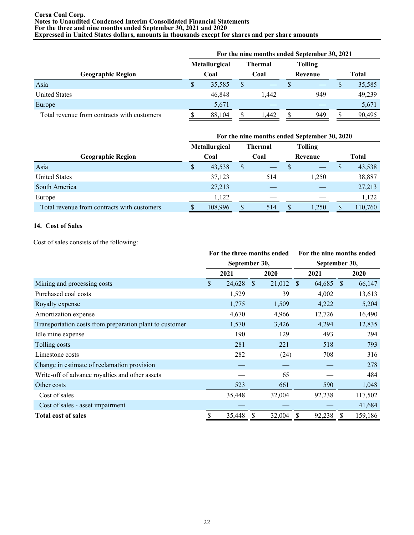#### **Corsa Coal Corp. Notes to Unaudited Condensed Interim Consolidated Financial Statements For the three and nine months ended September 30, 2021 and 2020 Expressed in United States dollars, amounts in thousands except for shares and per share amounts**

|                                             |                      |        |  | For the nine months ended September 30, 2021 |  |                |       |        |
|---------------------------------------------|----------------------|--------|--|----------------------------------------------|--|----------------|-------|--------|
|                                             | <b>Metallurgical</b> |        |  | <b>Thermal</b>                               |  | <b>Tolling</b> |       |        |
| <b>Geographic Region</b>                    | Coal                 |        |  | Coal                                         |  | Revenue        | Total |        |
| Asia                                        | \$                   | 35,585 |  |                                              |  |                |       | 35,585 |
| <b>United States</b>                        |                      | 46.848 |  | 1.442                                        |  | 949            |       | 49,239 |
| Europe                                      |                      | 5,671  |  |                                              |  |                |       | 5,671  |
| Total revenue from contracts with customers |                      | 88,104 |  | .442                                         |  | 949            |       | 90,495 |

|                                             | For the nine months ended September 30, 2020 |                      |   |                |  |                |              |         |
|---------------------------------------------|----------------------------------------------|----------------------|---|----------------|--|----------------|--------------|---------|
|                                             |                                              | <b>Metallurgical</b> |   | <b>Thermal</b> |  | <b>Tolling</b> |              |         |
| <b>Geographic Region</b>                    | Coal                                         |                      |   | Coal           |  | Revenue        |              | Total   |
| Asia                                        | S                                            | 43,538               | S |                |  |                | <sup>S</sup> | 43,538  |
| <b>United States</b>                        |                                              | 37,123               |   | 514            |  | 1.250          |              | 38,887  |
| South America                               |                                              | 27,213               |   |                |  |                |              | 27,213  |
| Europe                                      |                                              | 1,122                |   |                |  |                |              | 1,122   |
| Total revenue from contracts with customers |                                              | 108,996              |   | 514            |  | ,250           | S            | 110,760 |

## **14. Cost of Sales**

Cost of sales consists of the following:

|                                                         | For the three months ended |        |              |        |      | For the nine months ended |   |         |  |  |
|---------------------------------------------------------|----------------------------|--------|--------------|--------|------|---------------------------|---|---------|--|--|
|                                                         | September 30,              |        |              |        |      | September 30,             |   |         |  |  |
|                                                         |                            | 2021   | 2020         |        | 2021 |                           |   | 2020    |  |  |
| Mining and processing costs                             | \$                         | 24,628 | <sup>S</sup> | 21,012 | - \$ | 64,685 \$                 |   | 66,147  |  |  |
| Purchased coal costs                                    |                            | 1,529  |              | 39     |      | 4,002                     |   | 13,613  |  |  |
| Royalty expense                                         |                            | 1,775  |              | 1,509  |      | 4,222                     |   | 5,204   |  |  |
| Amortization expense                                    |                            | 4,670  |              | 4,966  |      | 12,726                    |   | 16,490  |  |  |
| Transportation costs from preparation plant to customer |                            | 1,570  |              | 3,426  |      | 4,294                     |   | 12,835  |  |  |
| Idle mine expense                                       |                            | 190    |              | 129    |      | 493                       |   | 294     |  |  |
| Tolling costs                                           |                            | 281    |              | 221    |      | 518                       |   | 793     |  |  |
| Limestone costs                                         |                            | 282    |              | (24)   |      | 708                       |   | 316     |  |  |
| Change in estimate of reclamation provision             |                            |        |              |        |      |                           |   | 278     |  |  |
| Write-off of advance royalties and other assets         |                            |        |              | 65     |      |                           |   | 484     |  |  |
| Other costs                                             |                            | 523    |              | 661    |      | 590                       |   | 1,048   |  |  |
| Cost of sales                                           |                            | 35,448 |              | 32,004 |      | 92,238                    |   | 117,502 |  |  |
| Cost of sales - asset impairment                        |                            |        |              |        |      |                           |   | 41,684  |  |  |
| <b>Total cost of sales</b>                              | \$                         | 35,448 | \$           | 32,004 | \$   | 92,238                    | S | 159,186 |  |  |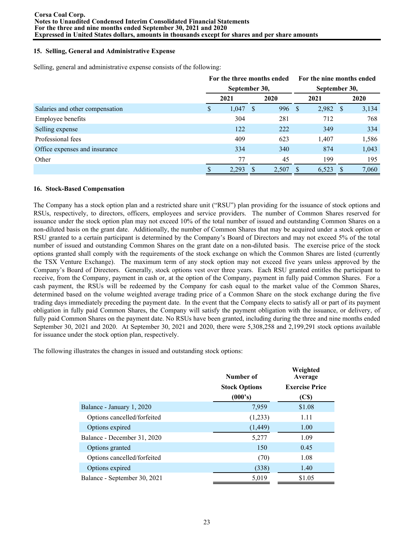## **15. Selling, General and Administrative Expense**

Selling, general and administrative expense consists of the following:

|                                 | For the three months ended |       |     |       |      | For the nine months ended |     |       |  |  |
|---------------------------------|----------------------------|-------|-----|-------|------|---------------------------|-----|-------|--|--|
|                                 | September 30,              |       |     |       |      | September 30,             |     |       |  |  |
|                                 |                            | 2021  |     | 2020  |      | 2021                      |     | 2020  |  |  |
| Salaries and other compensation | S                          | 1,047 | -S  | 996   | - \$ | 2,982                     | - S | 3,134 |  |  |
| Employee benefits               |                            | 304   |     | 281   |      | 712                       |     | 768   |  |  |
| Selling expense                 |                            | 122   |     | 222   |      | 349                       |     | 334   |  |  |
| Professional fees               |                            | 409   |     | 623   |      | 1,407                     |     | 1,586 |  |  |
| Office expenses and insurance   |                            | 334   |     | 340   |      | 874                       |     | 1,043 |  |  |
| Other                           |                            | 77    |     | 45    |      | 199                       |     | 195   |  |  |
|                                 |                            | 2,293 | \$. | 2,507 |      | 6,523                     |     | 7,060 |  |  |

### **16. Stock-Based Compensation**

The Company has a stock option plan and a restricted share unit ("RSU") plan providing for the issuance of stock options and RSUs, respectively, to directors, officers, employees and service providers. The number of Common Shares reserved for issuance under the stock option plan may not exceed 10% of the total number of issued and outstanding Common Shares on a non-diluted basis on the grant date. Additionally, the number of Common Shares that may be acquired under a stock option or RSU granted to a certain participant is determined by the Company's Board of Directors and may not exceed 5% of the total number of issued and outstanding Common Shares on the grant date on a non-diluted basis. The exercise price of the stock options granted shall comply with the requirements of the stock exchange on which the Common Shares are listed (currently the TSX Venture Exchange). The maximum term of any stock option may not exceed five years unless approved by the Company's Board of Directors. Generally, stock options vest over three years. Each RSU granted entitles the participant to receive, from the Company, payment in cash or, at the option of the Company, payment in fully paid Common Shares. For a cash payment, the RSUs will be redeemed by the Company for cash equal to the market value of the Common Shares, determined based on the volume weighted average trading price of a Common Share on the stock exchange during the five trading days immediately preceding the payment date. In the event that the Company elects to satisfy all or part of its payment obligation in fully paid Common Shares, the Company will satisfy the payment obligation with the issuance, or delivery, of fully paid Common Shares on the payment date. No RSUs have been granted, including during the three and nine months ended September 30, 2021 and 2020. At September 30, 2021 and 2020, there were 5,308,258 and 2,199,291 stock options available for issuance under the stock option plan, respectively.

The following illustrates the changes in issued and outstanding stock options:

|                              | Number of            | Weighted<br>Average   |
|------------------------------|----------------------|-----------------------|
|                              | <b>Stock Options</b> | <b>Exercise Price</b> |
|                              | (000's)              | (C\$)                 |
| Balance - January 1, 2020    | 7,959                | \$1.08                |
| Options cancelled/forfeited  | (1,233)              | 1.11                  |
| Options expired              | (1, 449)             | 1.00                  |
| Balance - December 31, 2020  | 5,277                | 1.09                  |
| Options granted              | 150                  | 0.45                  |
| Options cancelled/forfeited  | (70)                 | 1.08                  |
| Options expired              | (338)                | 1.40                  |
| Balance - September 30, 2021 | 5,019                | \$1.05                |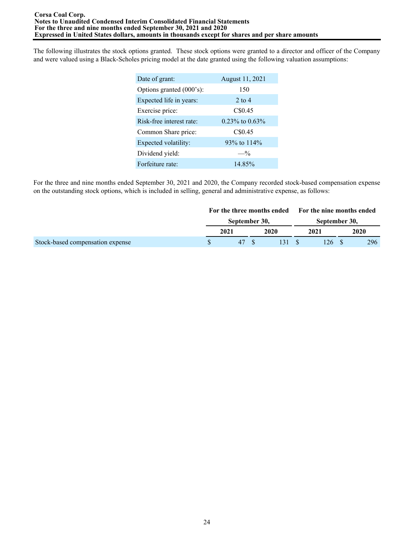The following illustrates the stock options granted. These stock options were granted to a director and officer of the Company and were valued using a Black-Scholes pricing model at the date granted using the following valuation assumptions:

| Date of grant:           | August 11, 2021      |
|--------------------------|----------------------|
| Options granted (000's): | 150                  |
| Expected life in years:  | $2$ to $4$           |
| Exercise price:          | C\$0.45              |
| Risk-free interest rate: | $0.23\%$ to $0.63\%$ |
| Common Share price:      | C\$0.45              |
| Expected volatility:     | 93% to 114%          |
| Dividend yield:          | $-$ %                |
| Forfeiture rate:         | 14.85%               |

For the three and nine months ended September 30, 2021 and 2020, the Company recorded stock-based compensation expense on the outstanding stock options, which is included in selling, general and administrative expense, as follows:

|                                  | For the three months ended For the nine months ended |  |      |  |               |  |      |  |
|----------------------------------|------------------------------------------------------|--|------|--|---------------|--|------|--|
|                                  | September 30,                                        |  |      |  | September 30, |  |      |  |
|                                  | 2021                                                 |  | 2020 |  | 2021          |  | 2020 |  |
| Stock-based compensation expense | 47                                                   |  | 131S |  | 126.          |  | 296  |  |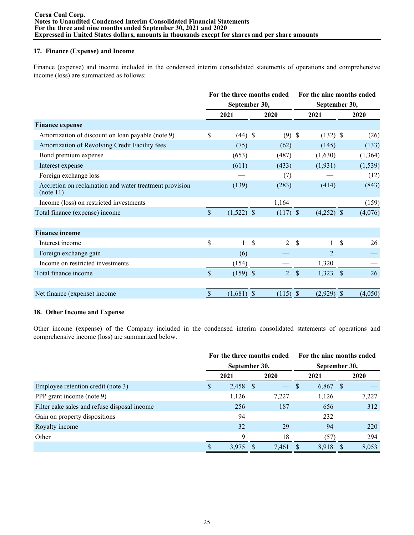## **17. Finance (Expense) and Income**

Finance (expense) and income included in the condensed interim consolidated statements of operations and comprehensive income (loss) are summarized as follows:

|                                                                     |                           |               | For the three months ended | For the nine months ended |               |               |          |  |  |
|---------------------------------------------------------------------|---------------------------|---------------|----------------------------|---------------------------|---------------|---------------|----------|--|--|
|                                                                     |                           | September 30, |                            |                           | September 30, |               |          |  |  |
|                                                                     |                           | 2021          | 2020                       |                           | 2021          |               | 2020     |  |  |
| <b>Finance expense</b>                                              |                           |               |                            |                           |               |               |          |  |  |
| Amortization of discount on loan payable (note 9)                   | \$                        | $(44)$ \$     | $(9)$ \$                   |                           | $(132)$ \$    |               | (26)     |  |  |
| Amortization of Revolving Credit Facility fees                      |                           | (75)          | (62)                       |                           | (145)         |               | (133)    |  |  |
| Bond premium expense                                                |                           | (653)         | (487)                      |                           | (1,630)       |               | (1,364)  |  |  |
| Interest expense                                                    |                           | (611)         | (433)                      |                           | (1,931)       |               | (1, 539) |  |  |
| Foreign exchange loss                                               |                           |               | (7)                        |                           |               |               | (12)     |  |  |
| Accretion on reclamation and water treatment provision<br>(note 11) |                           | (139)         | (283)                      |                           | (414)         |               | (843)    |  |  |
| Income (loss) on restricted investments                             |                           |               | 1,164                      |                           |               |               | (159)    |  |  |
| Total finance (expense) income                                      | $\mathsf{\$}$             | $(1,522)$ \$  | $(117)$ \$                 |                           | $(4,252)$ \$  |               | (4,076)  |  |  |
|                                                                     |                           |               |                            |                           |               |               |          |  |  |
| <b>Finance income</b>                                               |                           |               |                            |                           |               |               |          |  |  |
| Interest income                                                     | \$                        | 1             | \$<br>$\overline{2}$       | \$                        |               | \$            | 26       |  |  |
| Foreign exchange gain                                               |                           | (6)           |                            |                           | 2             |               |          |  |  |
| Income on restricted investments                                    |                           | (154)         |                            |                           | 1,320         |               |          |  |  |
| Total finance income                                                | $\mathbf{\hat{S}}$        | $(159)$ \$    | $\overline{2}$             | $\mathcal{S}$             | 1,323         | $\mathcal{S}$ | 26       |  |  |
|                                                                     |                           |               |                            |                           |               |               |          |  |  |
| Net finance (expense) income                                        | $\boldsymbol{\mathsf{S}}$ | $(1,681)$ \$  | $(115)$ \$                 |                           | (2,929)       | $\mathcal{S}$ | (4,050)  |  |  |

## **18. Other Income and Expense**

Other income (expense) of the Company included in the condensed interim consolidated statements of operations and comprehensive income (loss) are summarized below.

|                                              |    | For the three months ended |    | For the nine months ended |  |            |  |       |
|----------------------------------------------|----|----------------------------|----|---------------------------|--|------------|--|-------|
|                                              |    | September 30,              |    | September 30,             |  |            |  |       |
|                                              |    | 2021                       |    | 2020                      |  | 2021       |  | 2020  |
| Employee retention credit (note 3)           | У. | 2,458                      | -S | $\overline{\phantom{0}}$  |  | $6,867$ \$ |  |       |
| PPP grant income (note 9)                    |    | 1,126                      |    | 7,227                     |  | 1,126      |  | 7,227 |
| Filter cake sales and refuse disposal income |    | 256                        |    | 187                       |  | 656        |  | 312   |
| Gain on property dispositions                |    | 94                         |    |                           |  | 232        |  |       |
| Royalty income                               |    | 32                         |    | 29                        |  | 94         |  | 220   |
| Other                                        |    | 9                          |    | 18                        |  | (57)       |  | 294   |
|                                              |    | 3,975                      |    | 7,461                     |  | 8.918      |  | 8,053 |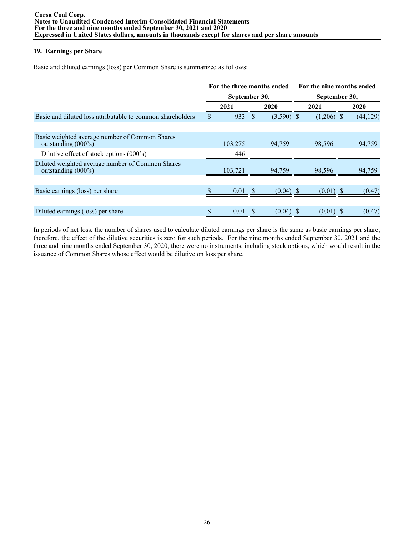## **19. Earnings per Share**

Basic and diluted earnings (loss) per Common Share is summarized as follows:

|                                                                         | For the three months ended<br>September 30, |         |  |              |  | For the nine months ended |  |           |  |  |  |
|-------------------------------------------------------------------------|---------------------------------------------|---------|--|--------------|--|---------------------------|--|-----------|--|--|--|
|                                                                         |                                             |         |  |              |  | September 30,             |  |           |  |  |  |
|                                                                         |                                             | 2021    |  | 2020         |  | 2021                      |  | 2020      |  |  |  |
| Basic and diluted loss attributable to common shareholders              | $\mathbb{S}$                                | 933     |  | $(3,590)$ \$ |  | $(1,206)$ \$              |  | (44, 129) |  |  |  |
|                                                                         |                                             |         |  |              |  |                           |  |           |  |  |  |
| Basic weighted average number of Common Shares<br>outstanding (000's)   |                                             | 103,275 |  | 94,759       |  | 98,596                    |  | 94,759    |  |  |  |
| Dilutive effect of stock options (000's)                                |                                             | 446     |  |              |  |                           |  |           |  |  |  |
| Diluted weighted average number of Common Shares<br>outstanding (000's) |                                             | 103.721 |  | 94,759       |  | 98,596                    |  | 94,759    |  |  |  |
|                                                                         |                                             |         |  |              |  |                           |  |           |  |  |  |
| Basic earnings (loss) per share                                         |                                             | 0.01    |  | $(0.04)$ \$  |  | $(0.01)$ \$               |  | (0.47)    |  |  |  |
|                                                                         |                                             |         |  |              |  |                           |  |           |  |  |  |
| Diluted earnings (loss) per share                                       | \$                                          | 0.01    |  | $(0.04)$ \$  |  | $(0.01)$ \$               |  | (0.47)    |  |  |  |

In periods of net loss, the number of shares used to calculate diluted earnings per share is the same as basic earnings per share; therefore, the effect of the dilutive securities is zero for such periods. For the nine months ended September 30, 2021 and the three and nine months ended September 30, 2020, there were no instruments, including stock options, which would result in the issuance of Common Shares whose effect would be dilutive on loss per share.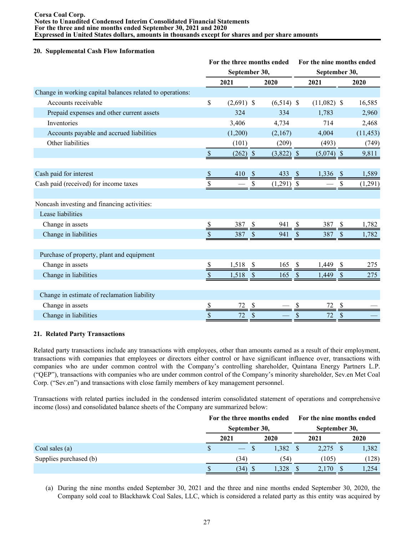#### **Corsa Coal Corp. Notes to Unaudited Condensed Interim Consolidated Financial Statements For the three and nine months ended September 30, 2021 and 2020 Expressed in United States dollars, amounts in thousands except for shares and per share amounts**

#### **20. Supplemental Cash Flow Information**

|                                                           |               | For the three months ended |               |              | For the nine months ended |               |                           |           |  |  |  |
|-----------------------------------------------------------|---------------|----------------------------|---------------|--------------|---------------------------|---------------|---------------------------|-----------|--|--|--|
|                                                           |               | September 30,              |               |              | September 30,             |               |                           |           |  |  |  |
|                                                           |               | 2021                       |               | 2020         |                           | 2021          |                           | 2020      |  |  |  |
| Change in working capital balances related to operations: |               |                            |               |              |                           |               |                           |           |  |  |  |
| Accounts receivable                                       | \$            | $(2,691)$ \$               |               | $(6,514)$ \$ |                           | $(11,082)$ \$ |                           | 16,585    |  |  |  |
| Prepaid expenses and other current assets                 |               | 324                        |               | 334          |                           | 1,783         |                           | 2,960     |  |  |  |
| Inventories                                               |               | 3,406                      |               | 4,734        |                           | 714           |                           | 2,468     |  |  |  |
| Accounts payable and accrued liabilities                  |               | (1,200)                    |               | (2,167)      |                           | 4,004         |                           | (11, 453) |  |  |  |
| Other liabilities                                         |               | (101)                      |               | (209)        |                           | (493)         |                           | (749)     |  |  |  |
|                                                           | $\$$          | $(262)$ \$                 |               | $(3,822)$ \$ |                           | $(5,074)$ \$  |                           | 9,811     |  |  |  |
|                                                           |               |                            |               |              |                           |               |                           |           |  |  |  |
| Cash paid for interest                                    | \$            | 410                        | <sup>S</sup>  | 433          | <sup>\$</sup>             | 1,336         | $\mathcal{S}$             | 1,589     |  |  |  |
| Cash paid (received) for income taxes                     |               |                            |               | $(1,291)$ \$ |                           |               | \$                        | (1,291)   |  |  |  |
|                                                           |               |                            |               |              |                           |               |                           |           |  |  |  |
| Noncash investing and financing activities:               |               |                            |               |              |                           |               |                           |           |  |  |  |
| Lease liabilities                                         |               |                            |               |              |                           |               |                           |           |  |  |  |
| Change in assets                                          | \$            | 387                        | \$            | 941          | \$                        | 387           | \$                        | 1,782     |  |  |  |
| Change in liabilities                                     | <sup>\$</sup> | 387                        | $\mathcal{S}$ | 941          | $\boldsymbol{\mathsf{S}}$ | 387           | $\boldsymbol{\mathsf{S}}$ | 1,782     |  |  |  |
|                                                           |               |                            |               |              |                           |               |                           |           |  |  |  |
| Purchase of property, plant and equipment                 |               |                            |               |              |                           |               |                           |           |  |  |  |
| Change in assets                                          | \$            | 1,518                      | \$            | 165          | \$                        | 1,449         | \$                        | 275       |  |  |  |
| Change in liabilities                                     | \$            | 1,518                      | $\mathcal{S}$ | 165          | \$                        | 1,449         | \$                        | 275       |  |  |  |
|                                                           |               |                            |               |              |                           |               |                           |           |  |  |  |
| Change in estimate of reclamation liability               |               |                            |               |              |                           |               |                           |           |  |  |  |
| Change in assets                                          | \$            | 72                         | \$            |              | S                         | 72            | \$                        |           |  |  |  |
| Change in liabilities                                     | \$            | 72                         | \$            |              | \$                        | 72            | \$                        |           |  |  |  |

## **21. Related Party Transactions**

Related party transactions include any transactions with employees, other than amounts earned as a result of their employment, transactions with companies that employees or directors either control or have significant influence over, transactions with companies who are under common control with the Company's controlling shareholder, Quintana Energy Partners L.P. ("QEP"), transactions with companies who are under common control of the Company's minority shareholder, Sev.en Met Coal Corp. ("Sev.en") and transactions with close family members of key management personnel.

Transactions with related parties included in the condensed interim consolidated statement of operations and comprehensive income (loss) and consolidated balance sheets of the Company are summarized below:

|                        |      | For the three months ended<br>September 30,                                                                                                                                                                                                                                                                                                                                                                                                                                |      |       | For the nine months ended<br>September 30, |       |  |       |  |
|------------------------|------|----------------------------------------------------------------------------------------------------------------------------------------------------------------------------------------------------------------------------------------------------------------------------------------------------------------------------------------------------------------------------------------------------------------------------------------------------------------------------|------|-------|--------------------------------------------|-------|--|-------|--|
|                        | 2021 |                                                                                                                                                                                                                                                                                                                                                                                                                                                                            | 2020 |       |                                            | 2021  |  | 2020  |  |
| Coal sales (a)         |      | $\frac{1}{2} \left( \frac{1}{2} \right) \left( \frac{1}{2} \right) \left( \frac{1}{2} \right) \left( \frac{1}{2} \right) \left( \frac{1}{2} \right) \left( \frac{1}{2} \right) \left( \frac{1}{2} \right) \left( \frac{1}{2} \right) \left( \frac{1}{2} \right) \left( \frac{1}{2} \right) \left( \frac{1}{2} \right) \left( \frac{1}{2} \right) \left( \frac{1}{2} \right) \left( \frac{1}{2} \right) \left( \frac{1}{2} \right) \left( \frac{1}{2} \right) \left( \frac$ |      | 1,382 |                                            | 2,275 |  | 1,382 |  |
| Supplies purchased (b) | (34) |                                                                                                                                                                                                                                                                                                                                                                                                                                                                            |      | (54)  |                                            | (105) |  | (128) |  |
|                        |      | 34)                                                                                                                                                                                                                                                                                                                                                                                                                                                                        | D    | 328   |                                            | 2.170 |  | .254  |  |

(a) During the nine months ended September 30, 2021 and the three and nine months ended September 30, 2020, the Company sold coal to Blackhawk Coal Sales, LLC, which is considered a related party as this entity was acquired by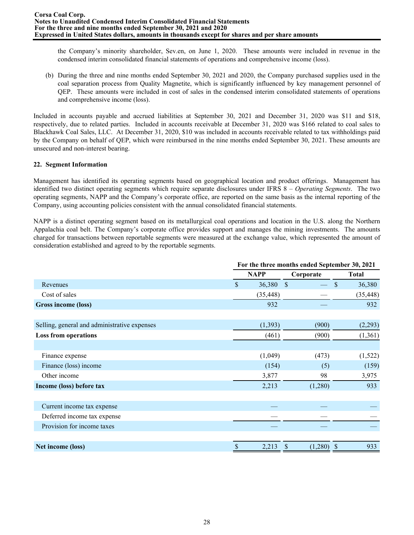the Company's minority shareholder, Sev.en, on June 1, 2020. These amounts were included in revenue in the condensed interim consolidated financial statements of operations and comprehensive income (loss).

(b) During the three and nine months ended September 30, 2021 and 2020, the Company purchased supplies used in the coal separation process from Quality Magnetite, which is significantly influenced by key management personnel of QEP. These amounts were included in cost of sales in the condensed interim consolidated statements of operations and comprehensive income (loss).

Included in accounts payable and accrued liabilities at September 30, 2021 and December 31, 2020 was \$11 and \$18, respectively, due to related parties. Included in accounts receivable at December 31, 2020 was \$166 related to coal sales to Blackhawk Coal Sales, LLC. At December 31, 2020, \$10 was included in accounts receivable related to tax withholdings paid by the Company on behalf of QEP, which were reimbursed in the nine months ended September 30, 2021. These amounts are unsecured and non-interest bearing.

### **22. Segment Information**

Management has identified its operating segments based on geographical location and product offerings. Management has identified two distinct operating segments which require separate disclosures under IFRS 8 – *Operating Segments*. The two operating segments, NAPP and the Company's corporate office, are reported on the same basis as the internal reporting of the Company, using accounting policies consistent with the annual consolidated financial statements.

NAPP is a distinct operating segment based on its metallurgical coal operations and location in the U.S. along the Northern Appalachia coal belt. The Company's corporate office provides support and manages the mining investments. The amounts charged for transactions between reportable segments were measured at the exchange value, which represented the amount of consideration established and agreed to by the reportable segments.

|                                              | For the three months ended September 30, 2021 |             |               |                     |  |  |  |  |  |
|----------------------------------------------|-----------------------------------------------|-------------|---------------|---------------------|--|--|--|--|--|
|                                              |                                               | <b>NAPP</b> | Corporate     | <b>Total</b>        |  |  |  |  |  |
| Revenues                                     | $\mathbf S$                                   | 36,380      | $\mathcal{S}$ | 36,380<br>\$        |  |  |  |  |  |
| Cost of sales                                |                                               | (35, 448)   |               | (35, 448)           |  |  |  |  |  |
| Gross income (loss)                          |                                               | 932         |               | 932                 |  |  |  |  |  |
|                                              |                                               |             |               |                     |  |  |  |  |  |
| Selling, general and administrative expenses |                                               | (1,393)     | (900)         | (2,293)             |  |  |  |  |  |
| <b>Loss from operations</b>                  |                                               | (461)       | (900)         | (1,361)             |  |  |  |  |  |
|                                              |                                               |             |               |                     |  |  |  |  |  |
| Finance expense                              |                                               | (1,049)     | (473)         | (1,522)             |  |  |  |  |  |
| Finance (loss) income                        |                                               | (154)       | (5)           | (159)               |  |  |  |  |  |
| Other income                                 |                                               | 3,877       | 98            | 3,975               |  |  |  |  |  |
| Income (loss) before tax                     |                                               | 2,213       | (1,280)       | 933                 |  |  |  |  |  |
|                                              |                                               |             |               |                     |  |  |  |  |  |
| Current income tax expense                   |                                               |             |               |                     |  |  |  |  |  |
| Deferred income tax expense                  |                                               |             |               |                     |  |  |  |  |  |
| Provision for income taxes                   |                                               |             |               |                     |  |  |  |  |  |
|                                              |                                               |             |               |                     |  |  |  |  |  |
| Net income (loss)                            | \$                                            | 2,213       | (1,280)       | 933<br><sup>3</sup> |  |  |  |  |  |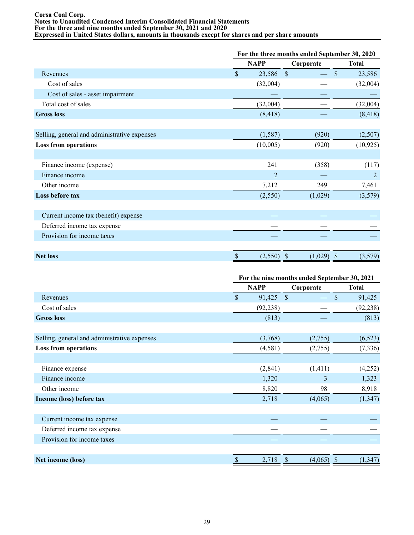#### **Corsa Coal Corp. Notes to Unaudited Condensed Interim Consolidated Financial Statements For the three and nine months ended September 30, 2021 and 2020 Expressed in United States dollars, amounts in thousands except for shares and per share amounts**

|                                              | For the three months ended September 30, 2020 |                |               |                          |  |  |  |  |
|----------------------------------------------|-----------------------------------------------|----------------|---------------|--------------------------|--|--|--|--|
|                                              |                                               | <b>NAPP</b>    | Corporate     | <b>Total</b>             |  |  |  |  |
| Revenues                                     | $\mathsf{\$}$                                 | 23,586         | $\mathcal{S}$ | $\mathbb{S}$<br>23,586   |  |  |  |  |
| Cost of sales                                |                                               | (32,004)       |               | (32,004)                 |  |  |  |  |
| Cost of sales - asset impairment             |                                               |                |               |                          |  |  |  |  |
| Total cost of sales                          |                                               | (32,004)       |               | (32,004)                 |  |  |  |  |
| <b>Gross loss</b>                            |                                               | (8, 418)       |               | (8, 418)                 |  |  |  |  |
| Selling, general and administrative expenses |                                               | (1, 587)       | (920)         | (2,507)                  |  |  |  |  |
| <b>Loss from operations</b>                  |                                               | (10,005)       | (920)         | (10, 925)                |  |  |  |  |
| Finance income (expense)                     |                                               | 241            | (358)         | (117)                    |  |  |  |  |
| Finance income                               |                                               | $\overline{2}$ |               | 2                        |  |  |  |  |
| Other income                                 |                                               | 7,212          | 249           | 7,461                    |  |  |  |  |
| Loss before tax                              |                                               | (2,550)        | (1,029)       | (3,579)                  |  |  |  |  |
| Current income tax (benefit) expense         |                                               |                |               |                          |  |  |  |  |
| Deferred income tax expense                  |                                               |                |               |                          |  |  |  |  |
| Provision for income taxes                   |                                               |                |               |                          |  |  |  |  |
| <b>Net loss</b>                              |                                               | (2,550)        | (1,029)<br>S  | <sup>\$</sup><br>(3,579) |  |  |  |  |

|                                              |               | For the nine months ended September 30, 2021 |                               |              |  |  |  |  |  |
|----------------------------------------------|---------------|----------------------------------------------|-------------------------------|--------------|--|--|--|--|--|
|                                              |               | <b>NAPP</b>                                  | Corporate                     | <b>Total</b> |  |  |  |  |  |
| Revenues                                     | $\mathsf{\$}$ | 91,425                                       | - \$                          | \$<br>91,425 |  |  |  |  |  |
| Cost of sales                                |               | (92, 238)                                    |                               | (92, 238)    |  |  |  |  |  |
| <b>Gross loss</b>                            |               | (813)                                        |                               | (813)        |  |  |  |  |  |
|                                              |               |                                              |                               |              |  |  |  |  |  |
| Selling, general and administrative expenses |               | (3,768)                                      | (2,755)                       | (6, 523)     |  |  |  |  |  |
| <b>Loss from operations</b>                  |               | (4,581)                                      | (2,755)                       | (7, 336)     |  |  |  |  |  |
|                                              |               |                                              |                               |              |  |  |  |  |  |
| Finance expense                              |               | (2, 841)                                     | (1, 411)                      | (4,252)      |  |  |  |  |  |
| Finance income                               |               | 1,320                                        | 3                             | 1,323        |  |  |  |  |  |
| Other income                                 |               | 8,820                                        | 98                            | 8,918        |  |  |  |  |  |
| Income (loss) before tax                     |               | 2,718                                        | (4,065)                       | (1, 347)     |  |  |  |  |  |
|                                              |               |                                              |                               |              |  |  |  |  |  |
| Current income tax expense                   |               |                                              |                               |              |  |  |  |  |  |
| Deferred income tax expense                  |               |                                              |                               |              |  |  |  |  |  |
| Provision for income taxes                   |               |                                              |                               |              |  |  |  |  |  |
|                                              |               |                                              |                               |              |  |  |  |  |  |
| Net income (loss)                            | $\$$          | 2,718                                        | $\mathcal{S}$<br>$(4,065)$ \$ | (1, 347)     |  |  |  |  |  |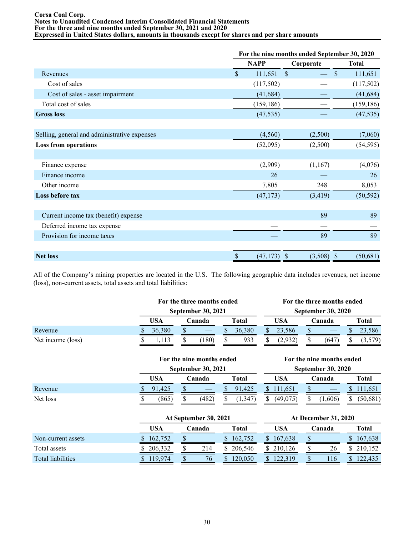#### **Corsa Coal Corp. Notes to Unaudited Condensed Interim Consolidated Financial Statements For the three and nine months ended September 30, 2021 and 2020 Expressed in United States dollars, amounts in thousands except for shares and per share amounts**

| For the nine months ended September 30, 2020 |             |                                      |                            |  |  |  |  |  |
|----------------------------------------------|-------------|--------------------------------------|----------------------------|--|--|--|--|--|
|                                              | <b>NAPP</b> | Corporate                            | <b>Total</b>               |  |  |  |  |  |
| \$                                           | 111,651     | $\mathbb{S}$                         | $\mathsf{\$}$<br>111,651   |  |  |  |  |  |
|                                              | (117,502)   |                                      | (117,502)                  |  |  |  |  |  |
|                                              | (41, 684)   |                                      | (41, 684)                  |  |  |  |  |  |
|                                              | (159, 186)  |                                      | (159, 186)                 |  |  |  |  |  |
|                                              | (47, 535)   |                                      | (47, 535)                  |  |  |  |  |  |
|                                              |             |                                      | (7,060)                    |  |  |  |  |  |
|                                              | (52,095)    | (2,500)                              | (54, 595)                  |  |  |  |  |  |
|                                              |             |                                      |                            |  |  |  |  |  |
|                                              | (2,909)     | (1,167)                              | (4,076)                    |  |  |  |  |  |
|                                              | 26          |                                      | 26                         |  |  |  |  |  |
|                                              | 7,805       | 248                                  | 8,053                      |  |  |  |  |  |
|                                              | (47, 173)   | (3, 419)                             | (50, 592)                  |  |  |  |  |  |
|                                              |             | 89                                   | 89                         |  |  |  |  |  |
|                                              |             |                                      |                            |  |  |  |  |  |
|                                              |             | 89                                   | 89                         |  |  |  |  |  |
| $\mathcal{S}$                                | (47, 173)   | (3,508)<br>$\boldsymbol{\mathsf{S}}$ | (50, 681)<br>$\mathcal{S}$ |  |  |  |  |  |
|                                              |             | (4,560)                              | (2,500)                    |  |  |  |  |  |

All of the Company's mining properties are located in the U.S. The following geographic data includes revenues, net income (loss), non-current assets, total assets and total liabilities:

|                   | For the three months ended |               |  |     |  |        |  | For the three months ended |                           |     |  |        |  |        |  |              |
|-------------------|----------------------------|---------------|--|-----|--|--------|--|----------------------------|---------------------------|-----|--|--------|--|--------|--|--------------|
|                   | <b>September 30, 2021</b>  |               |  |     |  |        |  |                            | <b>September 30, 2020</b> |     |  |        |  |        |  |              |
|                   |                            | USA<br>Canada |  |     |  | Total  |  |                            |                           |     |  | USA    |  | Canada |  | <b>Total</b> |
| Revenue           |                            | 36.380        |  |     |  | 36.380 |  | 23.586                     |                           |     |  | 23,586 |  |        |  |              |
| Net income (loss) |                            | 1.113         |  | 180 |  | 933    |  | 2.932                      |                           | 647 |  | 3,579  |  |        |  |              |

|          | For the nine months ended |       |        |       |       |        | For the nine months ended |          |     |                           |        |          |       |  |
|----------|---------------------------|-------|--------|-------|-------|--------|---------------------------|----------|-----|---------------------------|--------|----------|-------|--|
|          | <b>September 30, 2021</b> |       |        |       |       |        |                           |          |     | <b>September 30, 2020</b> |        |          |       |  |
|          |                           | USA   | Canada |       | Total |        |                           |          | USA |                           | Canada |          | Total |  |
| Revenue  |                           | .425  |        |       |       | 91.425 |                           | 111.651  |     |                           |        | 11,651   |       |  |
| Net loss |                           | (865) |        | (482) |       | 1.347  |                           | (49.075) |     | .606)                     |        | (50,681) |       |  |

|                          |         | At September 30, 2021 |         | <b>At December 31, 2020</b> |        |         |  |  |  |
|--------------------------|---------|-----------------------|---------|-----------------------------|--------|---------|--|--|--|
|                          | USA     | danada.               | Total   | USA                         | Canada | Total   |  |  |  |
| Non-current assets       | 162,752 |                       | 162.752 | S<br>167.638                |        | 167.638 |  |  |  |
| Total assets             | 206,332 | 214                   | 206,546 | 210.126                     | 26     | 210,152 |  |  |  |
| <b>Total liabilities</b> | 119.974 | 76                    | 120.050 |                             | 116    | 2.435   |  |  |  |